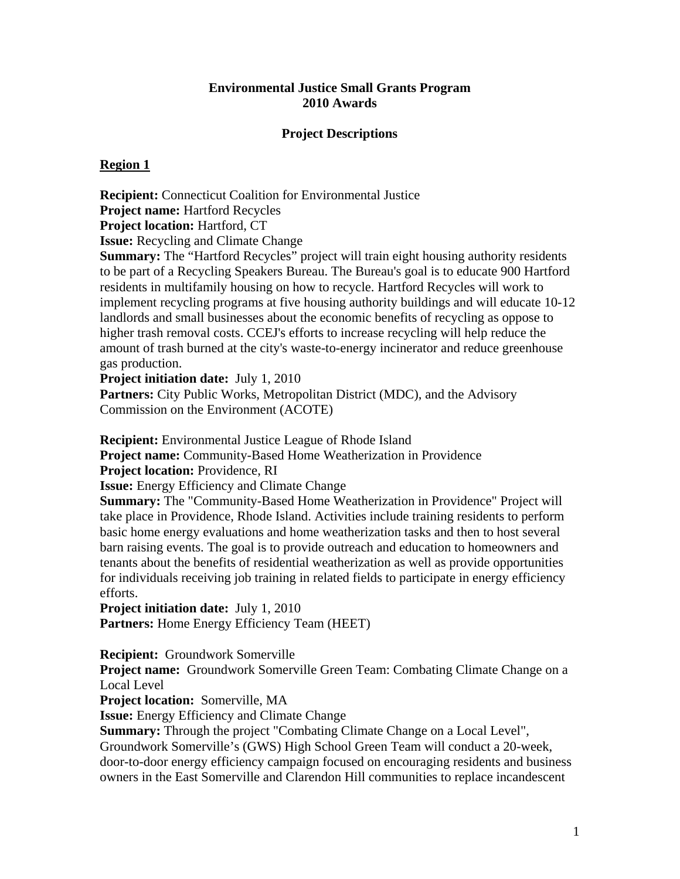## **Environmental Justice Small Grants Program 2010 Awards**

## **Project Descriptions**

## **Region 1**

**Recipient:** Connecticut Coalition for Environmental Justice **Project name: Hartford Recycles** 

# **Project location:** Hartford, CT

**Issue:** Recycling and Climate Change

**Summary:** The "Hartford Recycles" project will train eight housing authority residents to be part of a Recycling Speakers Bureau. The Bureau's goal is to educate 900 Hartford residents in multifamily housing on how to recycle. Hartford Recycles will work to implement recycling programs at five housing authority buildings and will educate 10-12 landlords and small businesses about the economic benefits of recycling as oppose to higher trash removal costs. CCEJ's efforts to increase recycling will help reduce the amount of trash burned at the city's waste-to-energy incinerator and reduce greenhouse gas production.

**Project initiation date:** July 1, 2010

**Partners:** City Public Works, Metropolitan District (MDC), and the Advisory Commission on the Environment (ACOTE)

**Recipient:** Environmental Justice League of Rhode Island

**Project name:** Community-Based Home Weatherization in Providence

**Project location:** Providence, RI

**Issue:** Energy Efficiency and Climate Change

**Summary:** The "Community-Based Home Weatherization in Providence" Project will take place in Providence, Rhode Island. Activities include training residents to perform basic home energy evaluations and home weatherization tasks and then to host several barn raising events. The goal is to provide outreach and education to homeowners and tenants about the benefits of residential weatherization as well as provide opportunities for individuals receiving job training in related fields to participate in energy efficiency efforts.

**Project initiation date:** July 1, 2010 **Partners:** Home Energy Efficiency Team (HEET)

**Recipient:** Groundwork Somerville

**Project name:** Groundwork Somerville Green Team: Combating Climate Change on a Local Level

**Project location:** Somerville, MA

**Issue:** Energy Efficiency and Climate Change

**Summary:** Through the project "Combating Climate Change on a Local Level", Groundwork Somerville's (GWS) High School Green Team will conduct a 20-week, door-to-door energy efficiency campaign focused on encouraging residents and business owners in the East Somerville and Clarendon Hill communities to replace incandescent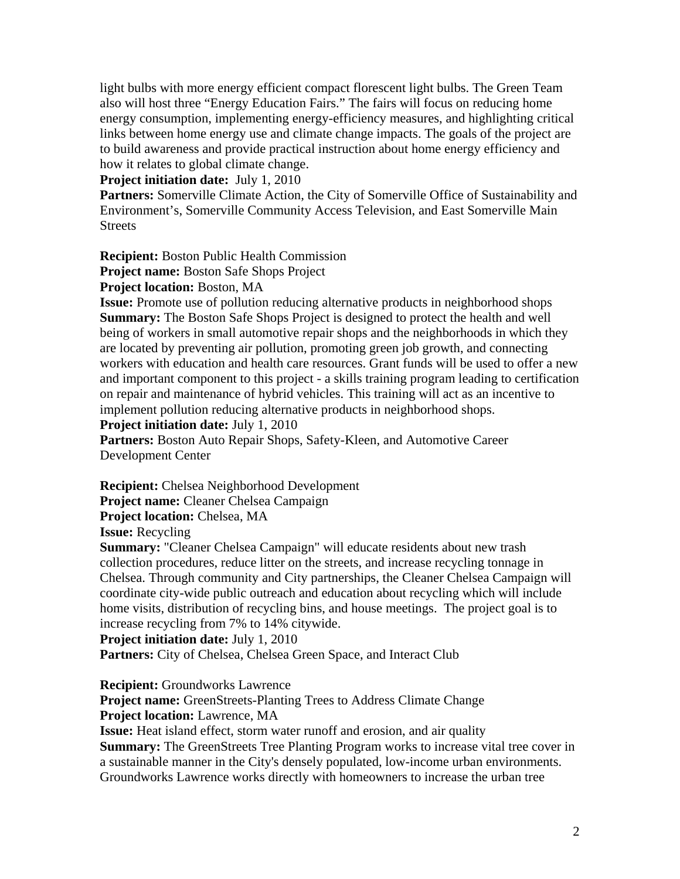light bulbs with more energy efficient compact florescent light bulbs. The Green Team also will host three "Energy Education Fairs." The fairs will focus on reducing home energy consumption, implementing energy-efficiency measures, and highlighting critical links between home energy use and climate change impacts. The goals of the project are to build awareness and provide practical instruction about home energy efficiency and how it relates to global climate change.

### **Project initiation date:** July 1, 2010

Partners: Somerville Climate Action, the City of Somerville Office of Sustainability and Environment's, Somerville Community Access Television, and East Somerville Main **Streets** 

**Recipient:** Boston Public Health Commission

**Project name:** Boston Safe Shops Project

**Project location:** Boston, MA

**Issue:** Promote use of pollution reducing alternative products in neighborhood shops **Summary:** The Boston Safe Shops Project is designed to protect the health and well being of workers in small automotive repair shops and the neighborhoods in which they are located by preventing air pollution, promoting green job growth, and connecting workers with education and health care resources. Grant funds will be used to offer a new and important component to this project - a skills training program leading to certification on repair and maintenance of hybrid vehicles. This training will act as an incentive to implement pollution reducing alternative products in neighborhood shops.

**Project initiation date:** July 1, 2010

Partners: Boston Auto Repair Shops, Safety-Kleen, and Automotive Career Development Center

**Recipient:** Chelsea Neighborhood Development

**Project name:** Cleaner Chelsea Campaign

**Project location:** Chelsea, MA

**Issue:** Recycling

**Summary:** "Cleaner Chelsea Campaign" will educate residents about new trash collection procedures, reduce litter on the streets, and increase recycling tonnage in Chelsea. Through community and City partnerships, the Cleaner Chelsea Campaign will coordinate city-wide public outreach and education about recycling which will include home visits, distribution of recycling bins, and house meetings. The project goal is to increase recycling from 7% to 14% citywide.

**Project initiation date:** July 1, 2010

Partners: City of Chelsea, Chelsea Green Space, and Interact Club

**Recipient:** Groundworks Lawrence

**Project name:** GreenStreets-Planting Trees to Address Climate Change

**Project location:** Lawrence, MA

**Issue:** Heat island effect, storm water runoff and erosion, and air quality

**Summary:** The GreenStreets Tree Planting Program works to increase vital tree cover in a sustainable manner in the City's densely populated, low-income urban environments. Groundworks Lawrence works directly with homeowners to increase the urban tree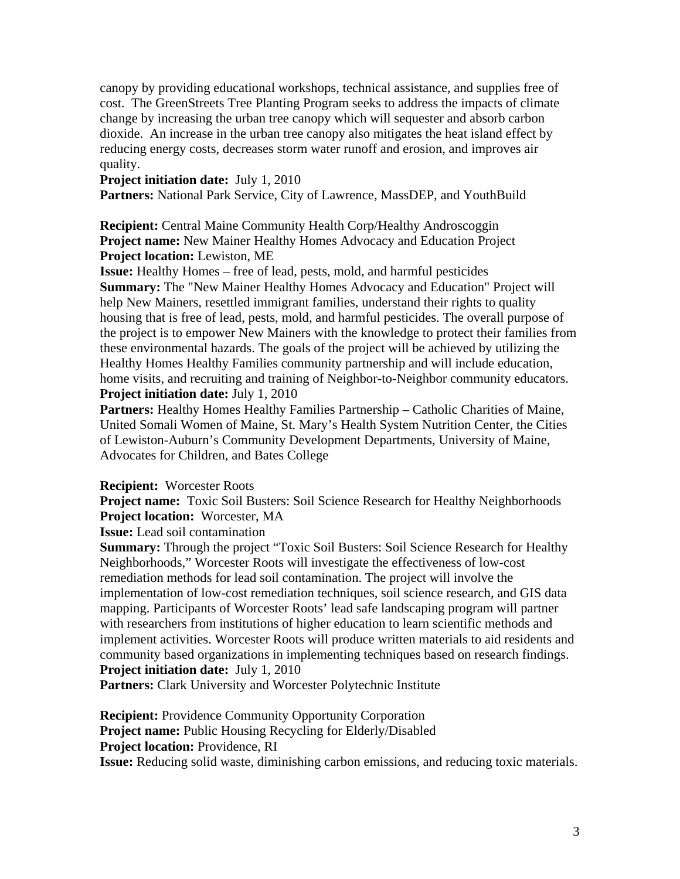canopy by providing educational workshops, technical assistance, and supplies free of cost. The GreenStreets Tree Planting Program seeks to address the impacts of climate change by increasing the urban tree canopy which will sequester and absorb carbon dioxide. An increase in the urban tree canopy also mitigates the heat island effect by reducing energy costs, decreases storm water runoff and erosion, and improves air quality.

## **Project initiation date:** July 1, 2010

Partners: National Park Service, City of Lawrence, MassDEP, and YouthBuild

**Recipient:** Central Maine Community Health Corp/Healthy Androscoggin **Project name:** New Mainer Healthy Homes Advocacy and Education Project **Project location:** Lewiston, ME

**Issue:** Healthy Homes – free of lead, pests, mold, and harmful pesticides **Summary:** The "New Mainer Healthy Homes Advocacy and Education" Project will help New Mainers, resettled immigrant families, understand their rights to quality housing that is free of lead, pests, mold, and harmful pesticides. The overall purpose of the project is to empower New Mainers with the knowledge to protect their families from these environmental hazards. The goals of the project will be achieved by utilizing the Healthy Homes Healthy Families community partnership and will include education, home visits, and recruiting and training of Neighbor-to-Neighbor community educators. **Project initiation date:** July 1, 2010

Partners: Healthy Homes Healthy Families Partnership – Catholic Charities of Maine, United Somali Women of Maine, St. Mary's Health System Nutrition Center, the Cities of Lewiston-Auburn's Community Development Departments, University of Maine, Advocates for Children, and Bates College

## **Recipient:** Worcester Roots

**Project name:** Toxic Soil Busters: Soil Science Research for Healthy Neighborhoods **Project location:** Worcester, MA

**Issue:** Lead soil contamination

**Summary:** Through the project "Toxic Soil Busters: Soil Science Research for Healthy Neighborhoods," Worcester Roots will investigate the effectiveness of low-cost remediation methods for lead soil contamination. The project will involve the implementation of low-cost remediation techniques, soil science research, and GIS data mapping. Participants of Worcester Roots' lead safe landscaping program will partner with researchers from institutions of higher education to learn scientific methods and implement activities. Worcester Roots will produce written materials to aid residents and community based organizations in implementing techniques based on research findings. **Project initiation date:** July 1, 2010

Partners: Clark University and Worcester Polytechnic Institute

**Recipient:** Providence Community Opportunity Corporation **Project name:** Public Housing Recycling for Elderly/Disabled **Project location:** Providence, RI **Issue:** Reducing solid waste, diminishing carbon emissions, and reducing toxic materials.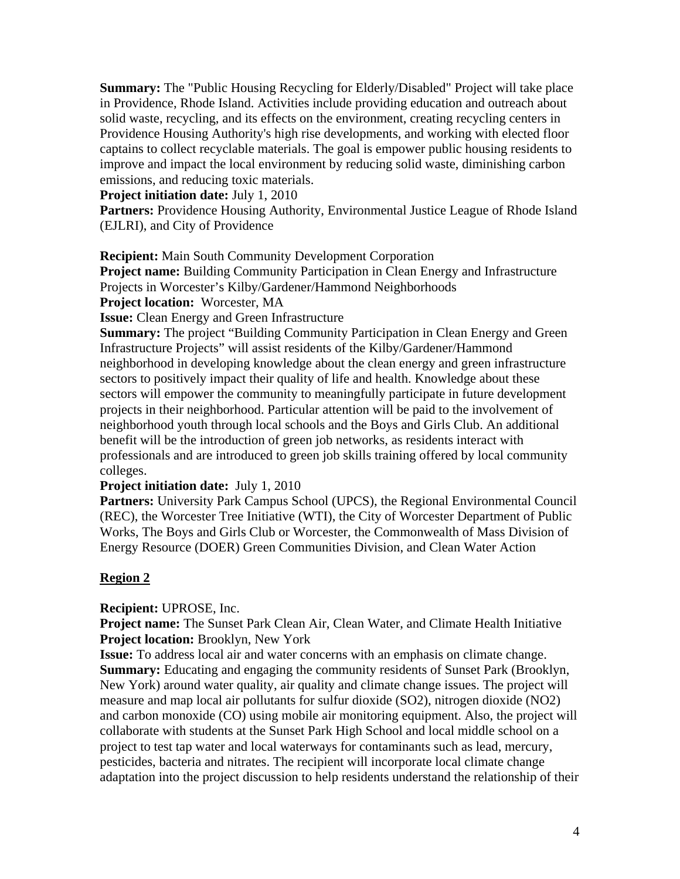**Summary:** The "Public Housing Recycling for Elderly/Disabled" Project will take place in Providence, Rhode Island. Activities include providing education and outreach about solid waste, recycling, and its effects on the environment, creating recycling centers in Providence Housing Authority's high rise developments, and working with elected floor captains to collect recyclable materials. The goal is empower public housing residents to improve and impact the local environment by reducing solid waste, diminishing carbon emissions, and reducing toxic materials.

## **Project initiation date:** July 1, 2010

Partners: Providence Housing Authority, Environmental Justice League of Rhode Island (EJLRI), and City of Providence

**Recipient:** Main South Community Development Corporation

**Project name:** Building Community Participation in Clean Energy and Infrastructure Projects in Worcester's Kilby/Gardener/Hammond Neighborhoods

**Project location:** Worcester, MA

**Issue:** Clean Energy and Green Infrastructure

**Summary:** The project "Building Community Participation in Clean Energy and Green Infrastructure Projects" will assist residents of the Kilby/Gardener/Hammond neighborhood in developing knowledge about the clean energy and green infrastructure sectors to positively impact their quality of life and health. Knowledge about these sectors will empower the community to meaningfully participate in future development projects in their neighborhood. Particular attention will be paid to the involvement of neighborhood youth through local schools and the Boys and Girls Club. An additional benefit will be the introduction of green job networks, as residents interact with professionals and are introduced to green job skills training offered by local community colleges.

## **Project initiation date:** July 1, 2010

**Partners:** University Park Campus School (UPCS), the Regional Environmental Council (REC), the Worcester Tree Initiative (WTI), the City of Worcester Department of Public Works, The Boys and Girls Club or Worcester, the Commonwealth of Mass Division of Energy Resource (DOER) Green Communities Division, and Clean Water Action

## **Region 2**

**Recipient:** UPROSE, Inc.

**Project name:** The Sunset Park Clean Air, Clean Water, and Climate Health Initiative **Project location:** Brooklyn, New York

**Issue:** To address local air and water concerns with an emphasis on climate change. **Summary:** Educating and engaging the community residents of Sunset Park (Brooklyn, New York) around water quality, air quality and climate change issues. The project will measure and map local air pollutants for sulfur dioxide (SO2), nitrogen dioxide (NO2) and carbon monoxide (CO) using mobile air monitoring equipment. Also, the project will collaborate with students at the Sunset Park High School and local middle school on a project to test tap water and local waterways for contaminants such as lead, mercury, pesticides, bacteria and nitrates. The recipient will incorporate local climate change adaptation into the project discussion to help residents understand the relationship of their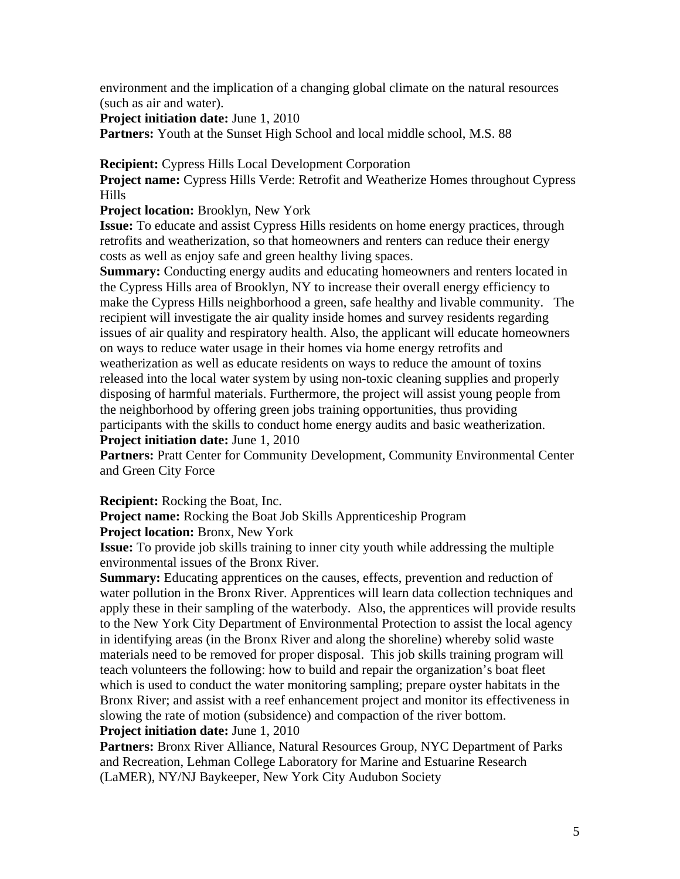environment and the implication of a changing global climate on the natural resources (such as air and water).

**Project initiation date:** June 1, 2010

Partners: Youth at the Sunset High School and local middle school, M.S. 88

**Recipient:** Cypress Hills Local Development Corporation

**Project name:** Cypress Hills Verde: Retrofit and Weatherize Homes throughout Cypress Hills

**Project location:** Brooklyn, New York

**Issue:** To educate and assist Cypress Hills residents on home energy practices, through retrofits and weatherization, so that homeowners and renters can reduce their energy costs as well as enjoy safe and green healthy living spaces.

**Summary:** Conducting energy audits and educating homeowners and renters located in the Cypress Hills area of Brooklyn, NY to increase their overall energy efficiency to make the Cypress Hills neighborhood a green, safe healthy and livable community. The recipient will investigate the air quality inside homes and survey residents regarding issues of air quality and respiratory health. Also, the applicant will educate homeowners on ways to reduce water usage in their homes via home energy retrofits and weatherization as well as educate residents on ways to reduce the amount of toxins released into the local water system by using non-toxic cleaning supplies and properly disposing of harmful materials. Furthermore, the project will assist young people from the neighborhood by offering green jobs training opportunities, thus providing participants with the skills to conduct home energy audits and basic weatherization. **Project initiation date:** June 1, 2010

Partners: Pratt Center for Community Development, Community Environmental Center and Green City Force

**Recipient:** Rocking the Boat, Inc.

**Project name:** Rocking the Boat Job Skills Apprenticeship Program

**Project location:** Bronx, New York

**Issue:** To provide job skills training to inner city youth while addressing the multiple environmental issues of the Bronx River.

**Summary:** Educating apprentices on the causes, effects, prevention and reduction of water pollution in the Bronx River. Apprentices will learn data collection techniques and apply these in their sampling of the waterbody. Also, the apprentices will provide results to the New York City Department of Environmental Protection to assist the local agency in identifying areas (in the Bronx River and along the shoreline) whereby solid waste materials need to be removed for proper disposal. This job skills training program will teach volunteers the following: how to build and repair the organization's boat fleet which is used to conduct the water monitoring sampling; prepare oyster habitats in the Bronx River; and assist with a reef enhancement project and monitor its effectiveness in slowing the rate of motion (subsidence) and compaction of the river bottom. **Project initiation date:** June 1, 2010

**Partners:** Bronx River Alliance, Natural Resources Group, NYC Department of Parks and Recreation, Lehman College Laboratory for Marine and Estuarine Research (LaMER), NY/NJ Baykeeper, New York City Audubon Society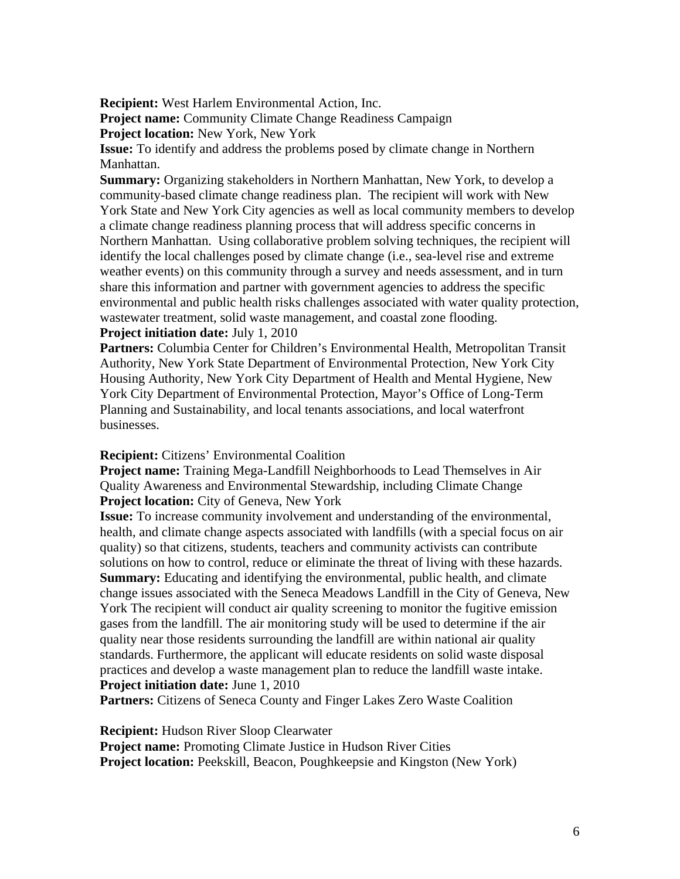**Recipient:** West Harlem Environmental Action, Inc.

**Project name:** Community Climate Change Readiness Campaign

**Project location:** New York, New York

**Issue:** To identify and address the problems posed by climate change in Northern Manhattan.

**Summary:** Organizing stakeholders in Northern Manhattan, New York, to develop a community-based climate change readiness plan. The recipient will work with New York State and New York City agencies as well as local community members to develop a climate change readiness planning process that will address specific concerns in Northern Manhattan. Using collaborative problem solving techniques, the recipient will identify the local challenges posed by climate change (i.e., sea-level rise and extreme weather events) on this community through a survey and needs assessment, and in turn share this information and partner with government agencies to address the specific environmental and public health risks challenges associated with water quality protection, wastewater treatment, solid waste management, and coastal zone flooding. **Project initiation date:** July 1, 2010

**Partners:** Columbia Center for Children's Environmental Health, Metropolitan Transit Authority, New York State Department of Environmental Protection, New York City Housing Authority, New York City Department of Health and Mental Hygiene, New York City Department of Environmental Protection, Mayor's Office of Long-Term Planning and Sustainability, and local tenants associations, and local waterfront businesses.

## **Recipient:** Citizens' Environmental Coalition

**Project name:** Training Mega-Landfill Neighborhoods to Lead Themselves in Air Quality Awareness and Environmental Stewardship, including Climate Change **Project location:** City of Geneva, New York

**Issue:** To increase community involvement and understanding of the environmental, health, and climate change aspects associated with landfills (with a special focus on air quality) so that citizens, students, teachers and community activists can contribute solutions on how to control, reduce or eliminate the threat of living with these hazards. **Summary:** Educating and identifying the environmental, public health, and climate change issues associated with the Seneca Meadows Landfill in the City of Geneva, New York The recipient will conduct air quality screening to monitor the fugitive emission gases from the landfill. The air monitoring study will be used to determine if the air quality near those residents surrounding the landfill are within national air quality standards. Furthermore, the applicant will educate residents on solid waste disposal practices and develop a waste management plan to reduce the landfill waste intake. **Project initiation date:** June 1, 2010

Partners: Citizens of Seneca County and Finger Lakes Zero Waste Coalition

**Recipient:** Hudson River Sloop Clearwater

**Project name:** Promoting Climate Justice in Hudson River Cities **Project location:** Peekskill, Beacon, Poughkeepsie and Kingston (New York)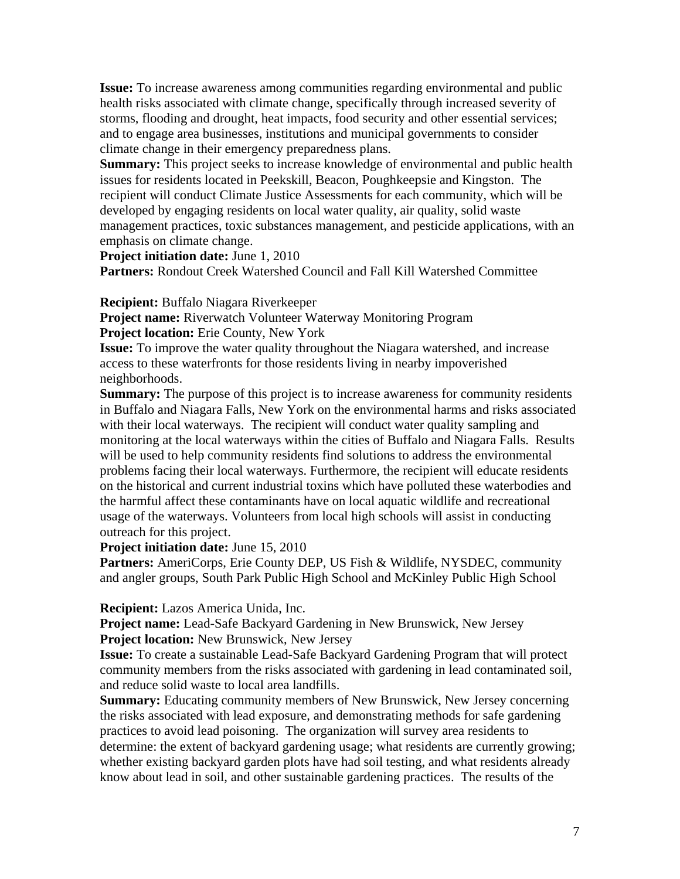**Issue:** To increase awareness among communities regarding environmental and public health risks associated with climate change, specifically through increased severity of storms, flooding and drought, heat impacts, food security and other essential services; and to engage area businesses, institutions and municipal governments to consider climate change in their emergency preparedness plans.

**Summary:** This project seeks to increase knowledge of environmental and public health issues for residents located in Peekskill, Beacon, Poughkeepsie and Kingston. The recipient will conduct Climate Justice Assessments for each community, which will be developed by engaging residents on local water quality, air quality, solid waste management practices, toxic substances management, and pesticide applications, with an emphasis on climate change.

**Project initiation date:** June 1, 2010

**Partners:** Rondout Creek Watershed Council and Fall Kill Watershed Committee

**Recipient:** Buffalo Niagara Riverkeeper

**Project name:** Riverwatch Volunteer Waterway Monitoring Program **Project location:** Erie County, New York

**Issue:** To improve the water quality throughout the Niagara watershed, and increase access to these waterfronts for those residents living in nearby impoverished neighborhoods.

**Summary:** The purpose of this project is to increase awareness for community residents in Buffalo and Niagara Falls, New York on the environmental harms and risks associated with their local waterways. The recipient will conduct water quality sampling and monitoring at the local waterways within the cities of Buffalo and Niagara Falls. Results will be used to help community residents find solutions to address the environmental problems facing their local waterways. Furthermore, the recipient will educate residents on the historical and current industrial toxins which have polluted these waterbodies and the harmful affect these contaminants have on local aquatic wildlife and recreational usage of the waterways. Volunteers from local high schools will assist in conducting outreach for this project.

#### **Project initiation date:** June 15, 2010

**Partners:** AmeriCorps, Erie County DEP, US Fish & Wildlife, NYSDEC, community and angler groups, South Park Public High School and McKinley Public High School

#### **Recipient:** Lazos America Unida, Inc.

**Project name:** Lead-Safe Backyard Gardening in New Brunswick, New Jersey **Project location:** New Brunswick, New Jersey

**Issue:** To create a sustainable Lead-Safe Backyard Gardening Program that will protect community members from the risks associated with gardening in lead contaminated soil, and reduce solid waste to local area landfills.

**Summary:** Educating community members of New Brunswick, New Jersey concerning the risks associated with lead exposure, and demonstrating methods for safe gardening practices to avoid lead poisoning. The organization will survey area residents to determine: the extent of backyard gardening usage; what residents are currently growing; whether existing backyard garden plots have had soil testing, and what residents already know about lead in soil, and other sustainable gardening practices. The results of the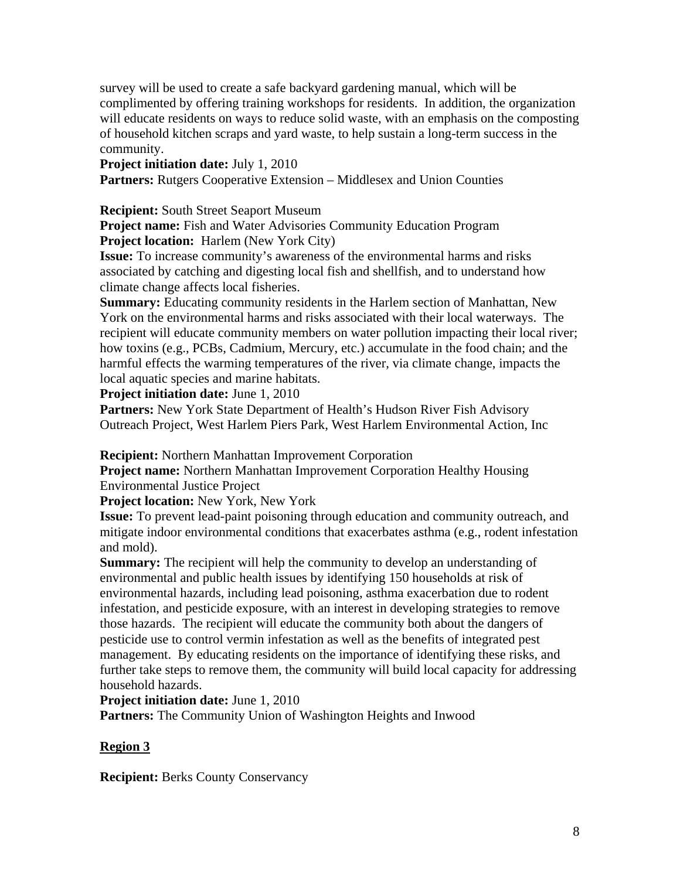survey will be used to create a safe backyard gardening manual, which will be complimented by offering training workshops for residents. In addition, the organization will educate residents on ways to reduce solid waste, with an emphasis on the composting of household kitchen scraps and yard waste, to help sustain a long-term success in the community.

## **Project initiation date:** July 1, 2010

**Partners:** Rutgers Cooperative Extension – Middlesex and Union Counties

**Recipient:** South Street Seaport Museum

**Project name:** Fish and Water Advisories Community Education Program **Project location:** Harlem (New York City)

**Issue:** To increase community's awareness of the environmental harms and risks associated by catching and digesting local fish and shellfish, and to understand how climate change affects local fisheries.

**Summary:** Educating community residents in the Harlem section of Manhattan, New York on the environmental harms and risks associated with their local waterways. The recipient will educate community members on water pollution impacting their local river; how toxins (e.g., PCBs, Cadmium, Mercury, etc.) accumulate in the food chain; and the harmful effects the warming temperatures of the river, via climate change, impacts the local aquatic species and marine habitats.

**Project initiation date:** June 1, 2010

Partners: New York State Department of Health's Hudson River Fish Advisory Outreach Project, West Harlem Piers Park, West Harlem Environmental Action, Inc

**Recipient:** Northern Manhattan Improvement Corporation

**Project name:** Northern Manhattan Improvement Corporation Healthy Housing Environmental Justice Project

**Project location:** New York, New York

**Issue:** To prevent lead-paint poisoning through education and community outreach, and mitigate indoor environmental conditions that exacerbates asthma (e.g., rodent infestation and mold).

**Summary:** The recipient will help the community to develop an understanding of environmental and public health issues by identifying 150 households at risk of environmental hazards, including lead poisoning, asthma exacerbation due to rodent infestation, and pesticide exposure, with an interest in developing strategies to remove those hazards. The recipient will educate the community both about the dangers of pesticide use to control vermin infestation as well as the benefits of integrated pest management. By educating residents on the importance of identifying these risks, and further take steps to remove them, the community will build local capacity for addressing household hazards.

**Project initiation date:** June 1, 2010

**Partners:** The Community Union of Washington Heights and Inwood

# **Region 3**

**Recipient:** Berks County Conservancy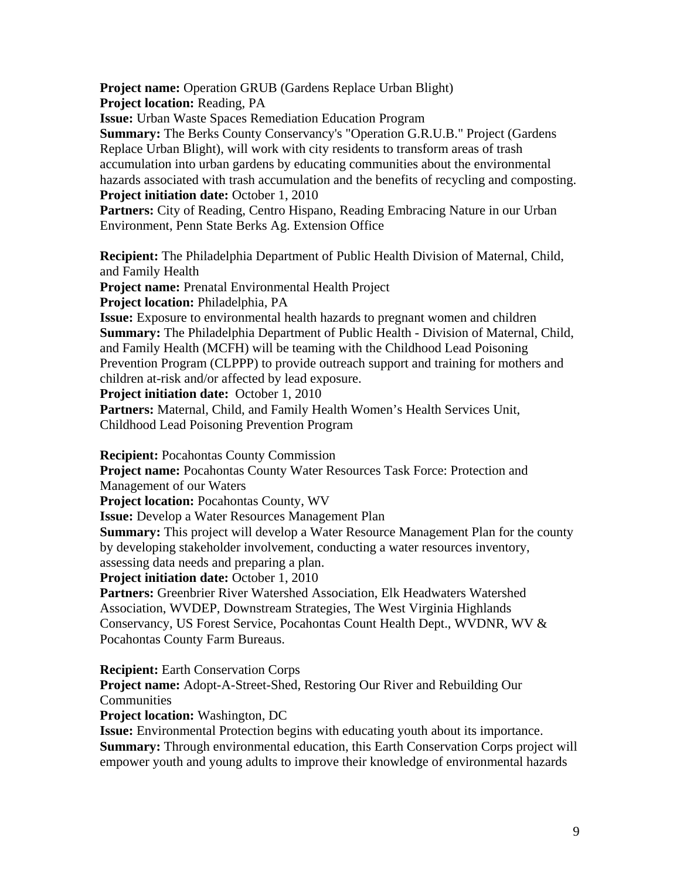**Project name:** Operation GRUB (Gardens Replace Urban Blight) **Project location:** Reading, PA

**Issue:** Urban Waste Spaces Remediation Education Program

**Summary:** The Berks County Conservancy's "Operation G.R.U.B." Project (Gardens Replace Urban Blight), will work with city residents to transform areas of trash accumulation into urban gardens by educating communities about the environmental hazards associated with trash accumulation and the benefits of recycling and composting. **Project initiation date:** October 1, 2010

Partners: City of Reading, Centro Hispano, Reading Embracing Nature in our Urban Environment, Penn State Berks Ag. Extension Office

**Recipient:** The Philadelphia Department of Public Health Division of Maternal, Child, and Family Health

**Project name:** Prenatal Environmental Health Project

**Project location:** Philadelphia, PA

**Issue:** Exposure to environmental health hazards to pregnant women and children **Summary:** The Philadelphia Department of Public Health - Division of Maternal, Child, and Family Health (MCFH) will be teaming with the Childhood Lead Poisoning Prevention Program (CLPPP) to provide outreach support and training for mothers and children at-risk and/or affected by lead exposure.

**Project initiation date:** October 1, 2010

Partners: Maternal, Child, and Family Health Women's Health Services Unit, Childhood Lead Poisoning Prevention Program

**Recipient:** Pocahontas County Commission

**Project name:** Pocahontas County Water Resources Task Force: Protection and Management of our Waters

**Project location:** Pocahontas County, WV

**Issue:** Develop a Water Resources Management Plan

**Summary:** This project will develop a Water Resource Management Plan for the county by developing stakeholder involvement, conducting a water resources inventory, assessing data needs and preparing a plan.

**Project initiation date:** October 1, 2010

Partners: Greenbrier River Watershed Association, Elk Headwaters Watershed Association, WVDEP, Downstream Strategies, The West Virginia Highlands Conservancy, US Forest Service, Pocahontas Count Health Dept., WVDNR, WV & Pocahontas County Farm Bureaus.

**Recipient:** Earth Conservation Corps

**Project name:** Adopt-A-Street-Shed, Restoring Our River and Rebuilding Our **Communities** 

**Project location:** Washington, DC

**Issue:** Environmental Protection begins with educating youth about its importance. **Summary:** Through environmental education, this Earth Conservation Corps project will empower youth and young adults to improve their knowledge of environmental hazards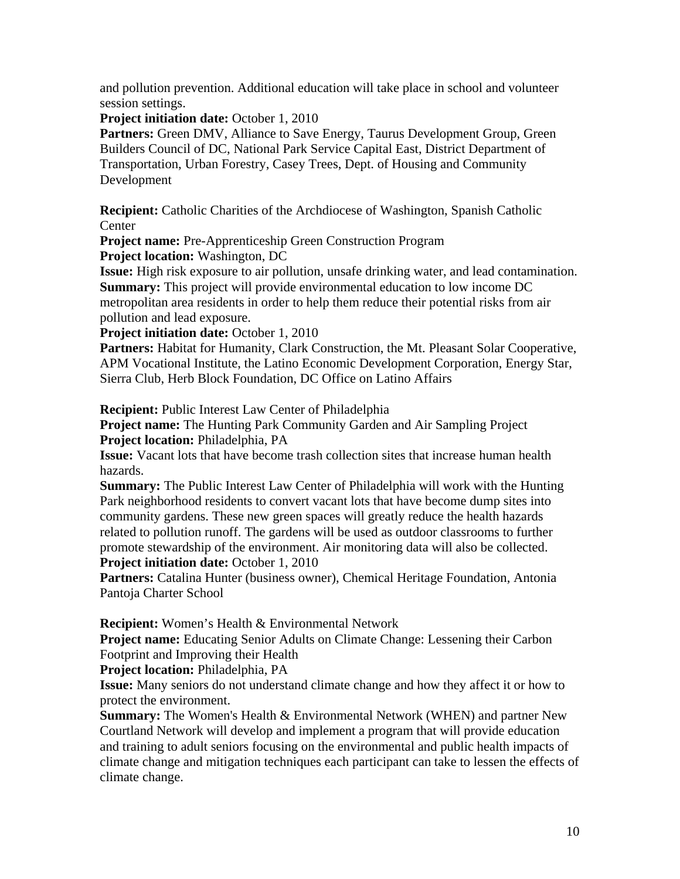and pollution prevention. Additional education will take place in school and volunteer session settings.

**Project initiation date:** October 1, 2010

Partners: Green DMV, Alliance to Save Energy, Taurus Development Group, Green Builders Council of DC, National Park Service Capital East, District Department of Transportation, Urban Forestry, Casey Trees, Dept. of Housing and Community Development

**Recipient:** Catholic Charities of the Archdiocese of Washington, Spanish Catholic Center

**Project name:** Pre-Apprenticeship Green Construction Program **Project location:** Washington, DC

**Issue:** High risk exposure to air pollution, unsafe drinking water, and lead contamination. **Summary:** This project will provide environmental education to low income DC metropolitan area residents in order to help them reduce their potential risks from air pollution and lead exposure.

**Project initiation date: October 1, 2010** 

Partners: Habitat for Humanity, Clark Construction, the Mt. Pleasant Solar Cooperative, APM Vocational Institute, the Latino Economic Development Corporation, Energy Star, Sierra Club, Herb Block Foundation, DC Office on Latino Affairs

**Recipient:** Public Interest Law Center of Philadelphia

**Project name:** The Hunting Park Community Garden and Air Sampling Project **Project location:** Philadelphia, PA

**Issue:** Vacant lots that have become trash collection sites that increase human health hazards.

**Summary:** The Public Interest Law Center of Philadelphia will work with the Hunting Park neighborhood residents to convert vacant lots that have become dump sites into community gardens. These new green spaces will greatly reduce the health hazards related to pollution runoff. The gardens will be used as outdoor classrooms to further promote stewardship of the environment. Air monitoring data will also be collected. **Project initiation date: October 1, 2010** 

Partners: Catalina Hunter (business owner), Chemical Heritage Foundation, Antonia Pantoja Charter School

**Recipient:** Women's Health & Environmental Network

**Project name:** Educating Senior Adults on Climate Change: Lessening their Carbon Footprint and Improving their Health

**Project location:** Philadelphia, PA

**Issue:** Many seniors do not understand climate change and how they affect it or how to protect the environment.

**Summary:** The Women's Health & Environmental Network (WHEN) and partner New Courtland Network will develop and implement a program that will provide education and training to adult seniors focusing on the environmental and public health impacts of climate change and mitigation techniques each participant can take to lessen the effects of climate change.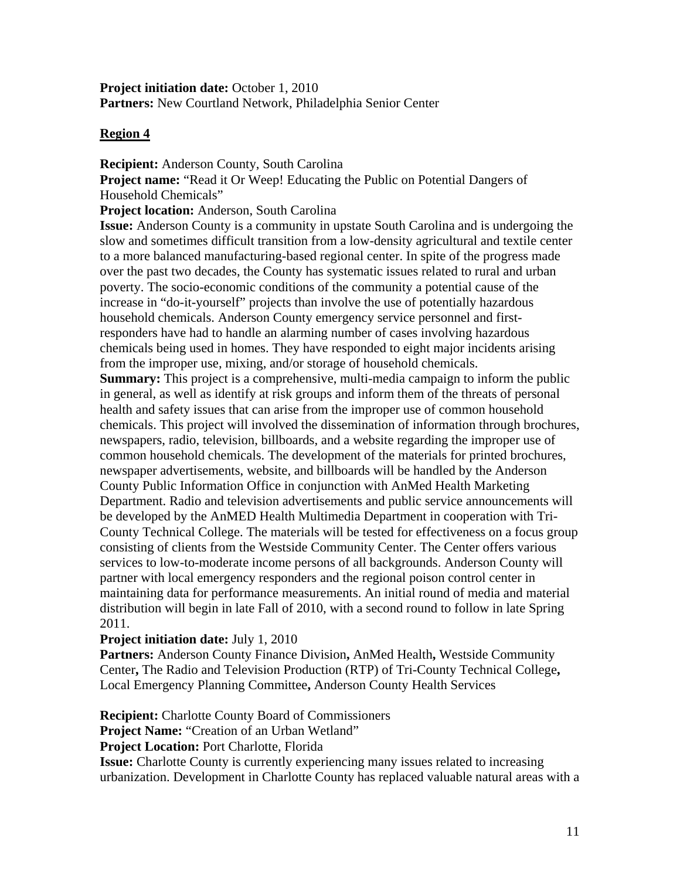**Project initiation date: October 1, 2010 Partners:** New Courtland Network, Philadelphia Senior Center

# **Region 4**

**Recipient:** Anderson County, South Carolina

**Project name:** "Read it Or Weep! Educating the Public on Potential Dangers of Household Chemicals"

**Project location:** Anderson, South Carolina

**Issue:** Anderson County is a community in upstate South Carolina and is undergoing the slow and sometimes difficult transition from a low-density agricultural and textile center to a more balanced manufacturing-based regional center. In spite of the progress made over the past two decades, the County has systematic issues related to rural and urban poverty. The socio-economic conditions of the community a potential cause of the increase in "do-it-yourself" projects than involve the use of potentially hazardous household chemicals. Anderson County emergency service personnel and firstresponders have had to handle an alarming number of cases involving hazardous chemicals being used in homes. They have responded to eight major incidents arising from the improper use, mixing, and/or storage of household chemicals. **Summary:** This project is a comprehensive, multi-media campaign to inform the public in general, as well as identify at risk groups and inform them of the threats of personal health and safety issues that can arise from the improper use of common household chemicals. This project will involved the dissemination of information through brochures, newspapers, radio, television, billboards, and a website regarding the improper use of common household chemicals. The development of the materials for printed brochures, newspaper advertisements, website, and billboards will be handled by the Anderson County Public Information Office in conjunction with AnMed Health Marketing Department. Radio and television advertisements and public service announcements will be developed by the AnMED Health Multimedia Department in cooperation with Tri-County Technical College. The materials will be tested for effectiveness on a focus group consisting of clients from the Westside Community Center. The Center offers various services to low-to-moderate income persons of all backgrounds. Anderson County will partner with local emergency responders and the regional poison control center in maintaining data for performance measurements. An initial round of media and material distribution will begin in late Fall of 2010, with a second round to follow in late Spring 2011.

# **Project initiation date:** July 1, 2010

**Partners:** Anderson County Finance Division**,** AnMed Health**,** Westside Community Center**,** The Radio and Television Production (RTP) of Tri-County Technical College**,**  Local Emergency Planning Committee**,** Anderson County Health Services

**Recipient:** Charlotte County Board of Commissioners

Project Name: "Creation of an Urban Wetland"

**Project Location:** Port Charlotte, Florida

**Issue:** Charlotte County is currently experiencing many issues related to increasing urbanization. Development in Charlotte County has replaced valuable natural areas with a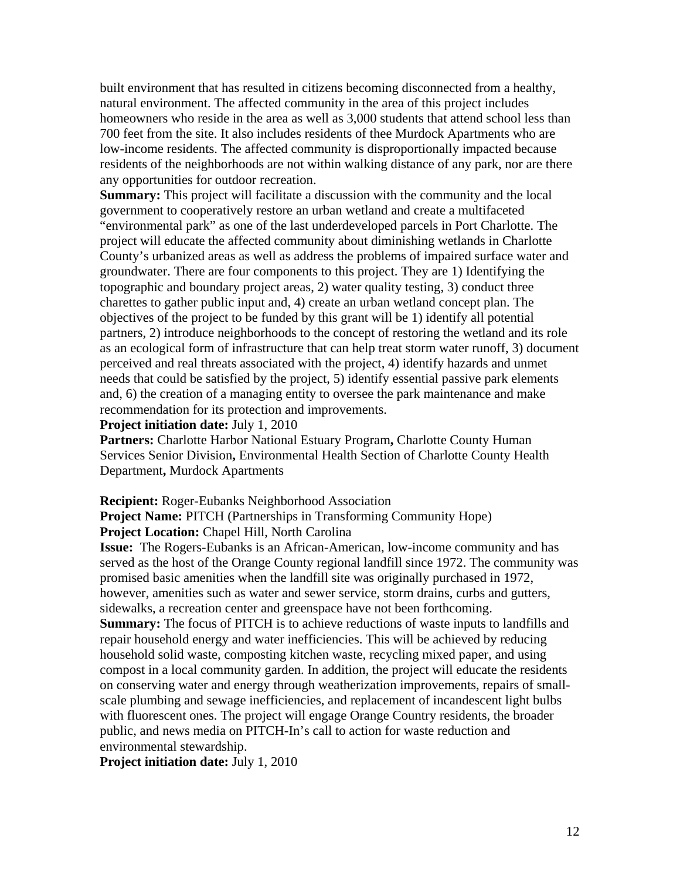built environment that has resulted in citizens becoming disconnected from a healthy, natural environment. The affected community in the area of this project includes homeowners who reside in the area as well as 3,000 students that attend school less than 700 feet from the site. It also includes residents of thee Murdock Apartments who are low-income residents. The affected community is disproportionally impacted because residents of the neighborhoods are not within walking distance of any park, nor are there any opportunities for outdoor recreation.

**Summary:** This project will facilitate a discussion with the community and the local government to cooperatively restore an urban wetland and create a multifaceted "environmental park" as one of the last underdeveloped parcels in Port Charlotte. The project will educate the affected community about diminishing wetlands in Charlotte County's urbanized areas as well as address the problems of impaired surface water and groundwater. There are four components to this project. They are 1) Identifying the topographic and boundary project areas, 2) water quality testing, 3) conduct three charettes to gather public input and, 4) create an urban wetland concept plan. The objectives of the project to be funded by this grant will be 1) identify all potential partners, 2) introduce neighborhoods to the concept of restoring the wetland and its role as an ecological form of infrastructure that can help treat storm water runoff, 3) document perceived and real threats associated with the project, 4) identify hazards and unmet needs that could be satisfied by the project, 5) identify essential passive park elements and, 6) the creation of a managing entity to oversee the park maintenance and make recommendation for its protection and improvements.

### **Project initiation date:** July 1, 2010

**Partners:** Charlotte Harbor National Estuary Program**,** Charlotte County Human Services Senior Division**,** Environmental Health Section of Charlotte County Health Department**,** Murdock Apartments

#### **Recipient:** Roger-Eubanks Neighborhood Association

**Project Name:** PITCH (Partnerships in Transforming Community Hope)

# **Project Location:** Chapel Hill, North Carolina

**Issue:** The Rogers-Eubanks is an African-American, low-income community and has served as the host of the Orange County regional landfill since 1972. The community was promised basic amenities when the landfill site was originally purchased in 1972, however, amenities such as water and sewer service, storm drains, curbs and gutters, sidewalks, a recreation center and greenspace have not been forthcoming.

**Summary:** The focus of PITCH is to achieve reductions of waste inputs to landfills and repair household energy and water inefficiencies. This will be achieved by reducing household solid waste, composting kitchen waste, recycling mixed paper, and using compost in a local community garden. In addition, the project will educate the residents on conserving water and energy through weatherization improvements, repairs of smallscale plumbing and sewage inefficiencies, and replacement of incandescent light bulbs with fluorescent ones. The project will engage Orange Country residents, the broader public, and news media on PITCH-In's call to action for waste reduction and environmental stewardship.

**Project initiation date:** July 1, 2010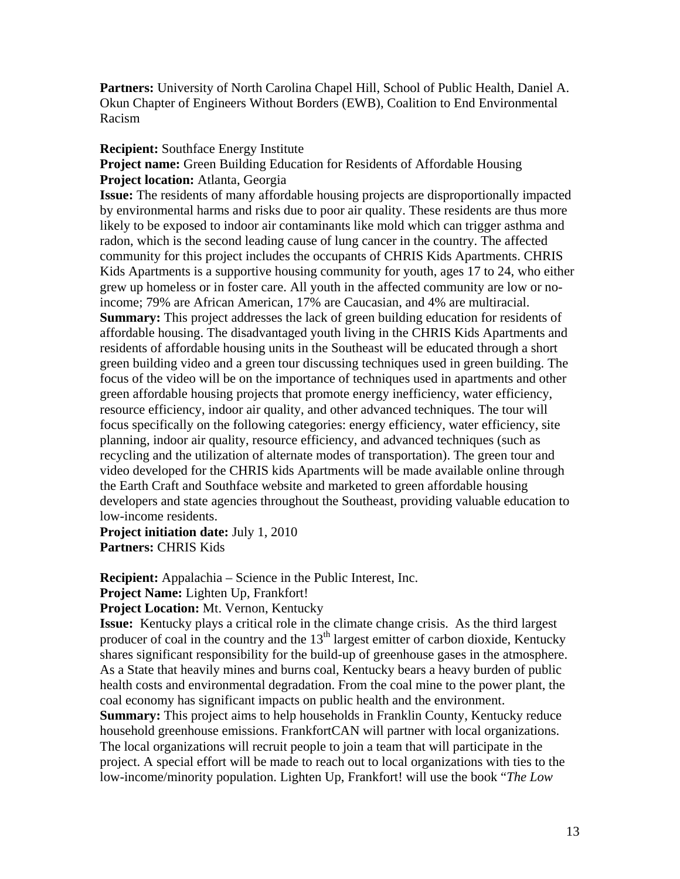**Partners:** University of North Carolina Chapel Hill, School of Public Health, Daniel A. Okun Chapter of Engineers Without Borders (EWB), Coalition to End Environmental Racism

## **Recipient:** Southface Energy Institute

**Project name:** Green Building Education for Residents of Affordable Housing **Project location:** Atlanta, Georgia

**Issue:** The residents of many affordable housing projects are disproportionally impacted by environmental harms and risks due to poor air quality. These residents are thus more likely to be exposed to indoor air contaminants like mold which can trigger asthma and radon, which is the second leading cause of lung cancer in the country. The affected community for this project includes the occupants of CHRIS Kids Apartments. CHRIS Kids Apartments is a supportive housing community for youth, ages 17 to 24, who either grew up homeless or in foster care. All youth in the affected community are low or noincome; 79% are African American, 17% are Caucasian, and 4% are multiracial. **Summary:** This project addresses the lack of green building education for residents of affordable housing. The disadvantaged youth living in the CHRIS Kids Apartments and residents of affordable housing units in the Southeast will be educated through a short green building video and a green tour discussing techniques used in green building. The focus of the video will be on the importance of techniques used in apartments and other green affordable housing projects that promote energy inefficiency, water efficiency, resource efficiency, indoor air quality, and other advanced techniques. The tour will focus specifically on the following categories: energy efficiency, water efficiency, site planning, indoor air quality, resource efficiency, and advanced techniques (such as recycling and the utilization of alternate modes of transportation). The green tour and video developed for the CHRIS kids Apartments will be made available online through the Earth Craft and Southface website and marketed to green affordable housing developers and state agencies throughout the Southeast, providing valuable education to low-income residents.

**Project initiation date:** July 1, 2010 **Partners:** CHRIS Kids

**Recipient:** Appalachia – Science in the Public Interest, Inc.

**Project Name:** Lighten Up, Frankfort!

**Project Location:** Mt. Vernon, Kentucky

**Issue:** Kentucky plays a critical role in the climate change crisis. As the third largest producer of coal in the country and the  $13<sup>th</sup>$  largest emitter of carbon dioxide, Kentucky shares significant responsibility for the build-up of greenhouse gases in the atmosphere. As a State that heavily mines and burns coal, Kentucky bears a heavy burden of public health costs and environmental degradation. From the coal mine to the power plant, the coal economy has significant impacts on public health and the environment.

**Summary:** This project aims to help households in Franklin County, Kentucky reduce household greenhouse emissions. FrankfortCAN will partner with local organizations. The local organizations will recruit people to join a team that will participate in the project. A special effort will be made to reach out to local organizations with ties to the low-income/minority population. Lighten Up, Frankfort! will use the book "*The Low*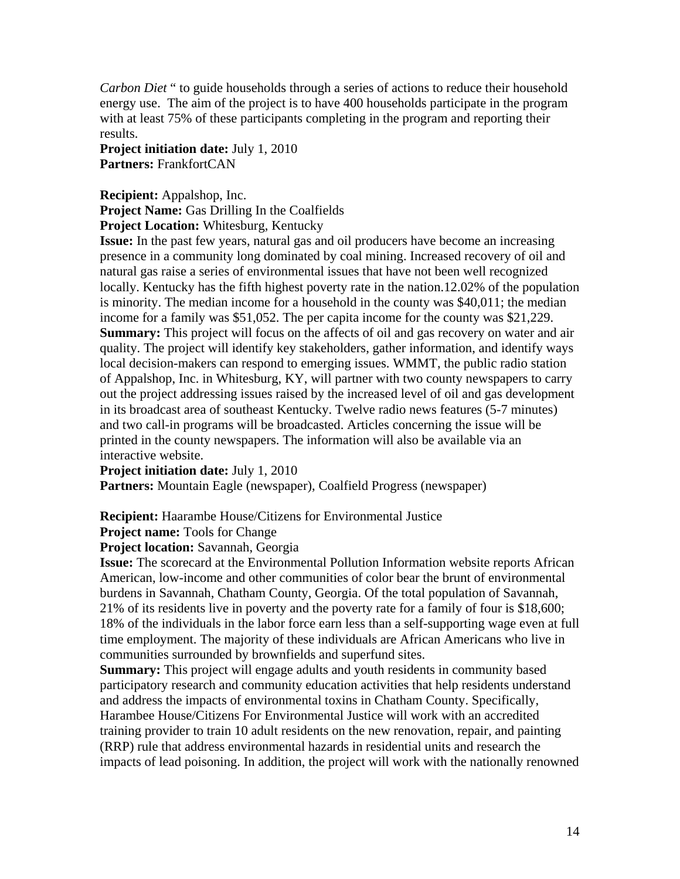*Carbon Diet* " to guide households through a series of actions to reduce their household energy use. The aim of the project is to have 400 households participate in the program with at least 75% of these participants completing in the program and reporting their results.

# **Project initiation date:** July 1, 2010 **Partners:** FrankfortCAN

**Recipient:** Appalshop, Inc. **Project Name:** Gas Drilling In the Coalfields **Project Location:** Whitesburg, Kentucky

**Issue:** In the past few years, natural gas and oil producers have become an increasing presence in a community long dominated by coal mining. Increased recovery of oil and natural gas raise a series of environmental issues that have not been well recognized locally. Kentucky has the fifth highest poverty rate in the nation.12.02% of the population is minority. The median income for a household in the county was \$40,011; the median income for a family was \$51,052. The per capita income for the county was \$21,229. **Summary:** This project will focus on the affects of oil and gas recovery on water and air quality. The project will identify key stakeholders, gather information, and identify ways local decision-makers can respond to emerging issues. WMMT, the public radio station of Appalshop, Inc. in Whitesburg, KY, will partner with two county newspapers to carry out the project addressing issues raised by the increased level of oil and gas development in its broadcast area of southeast Kentucky. Twelve radio news features (5-7 minutes) and two call-in programs will be broadcasted. Articles concerning the issue will be printed in the county newspapers. The information will also be available via an interactive website.

**Project initiation date:** July 1, 2010

**Partners:** Mountain Eagle (newspaper), Coalfield Progress (newspaper)

# **Recipient:** Haarambe House/Citizens for Environmental Justice

## **Project name:** Tools for Change

## **Project location:** Savannah, Georgia

**Issue:** The scorecard at the Environmental Pollution Information website reports African American, low-income and other communities of color bear the brunt of environmental burdens in Savannah, Chatham County, Georgia. Of the total population of Savannah, 21% of its residents live in poverty and the poverty rate for a family of four is \$18,600; 18% of the individuals in the labor force earn less than a self-supporting wage even at full time employment. The majority of these individuals are African Americans who live in communities surrounded by brownfields and superfund sites.

**Summary:** This project will engage adults and youth residents in community based participatory research and community education activities that help residents understand and address the impacts of environmental toxins in Chatham County. Specifically, Harambee House/Citizens For Environmental Justice will work with an accredited training provider to train 10 adult residents on the new renovation, repair, and painting (RRP) rule that address environmental hazards in residential units and research the impacts of lead poisoning. In addition, the project will work with the nationally renowned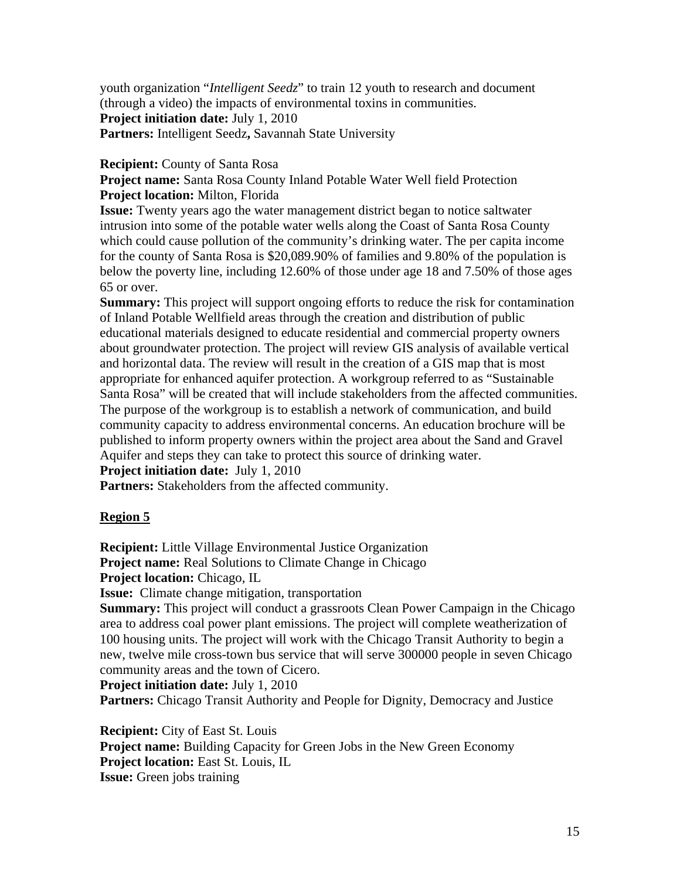youth organization "*Intelligent Seedz*" to train 12 youth to research and document (through a video) the impacts of environmental toxins in communities. **Project initiation date:** July 1, 2010 **Partners:** Intelligent Seedz**,** Savannah State University

## **Recipient:** County of Santa Rosa

**Project name:** Santa Rosa County Inland Potable Water Well field Protection **Project location:** Milton, Florida

**Issue:** Twenty years ago the water management district began to notice saltwater intrusion into some of the potable water wells along the Coast of Santa Rosa County which could cause pollution of the community's drinking water. The per capita income for the county of Santa Rosa is \$20,089.90% of families and 9.80% of the population is below the poverty line, including 12.60% of those under age 18 and 7.50% of those ages 65 or over.

**Summary:** This project will support ongoing efforts to reduce the risk for contamination of Inland Potable Wellfield areas through the creation and distribution of public educational materials designed to educate residential and commercial property owners about groundwater protection. The project will review GIS analysis of available vertical and horizontal data. The review will result in the creation of a GIS map that is most appropriate for enhanced aquifer protection. A workgroup referred to as "Sustainable Santa Rosa" will be created that will include stakeholders from the affected communities. The purpose of the workgroup is to establish a network of communication, and build community capacity to address environmental concerns. An education brochure will be published to inform property owners within the project area about the Sand and Gravel Aquifer and steps they can take to protect this source of drinking water.

**Project initiation date:** July 1, 2010

Partners: Stakeholders from the affected community.

# **Region 5**

**Recipient:** Little Village Environmental Justice Organization **Project name:** Real Solutions to Climate Change in Chicago

**Project location:** Chicago, IL

**Issue:** Climate change mitigation, transportation

**Summary:** This project will conduct a grassroots Clean Power Campaign in the Chicago area to address coal power plant emissions. The project will complete weatherization of 100 housing units. The project will work with the Chicago Transit Authority to begin a new, twelve mile cross-town bus service that will serve 300000 people in seven Chicago community areas and the town of Cicero.

**Project initiation date:** July 1, 2010

Partners: Chicago Transit Authority and People for Dignity, Democracy and Justice

**Recipient:** City of East St. Louis **Project name:** Building Capacity for Green Jobs in the New Green Economy **Project location:** East St. Louis, IL **Issue:** Green jobs training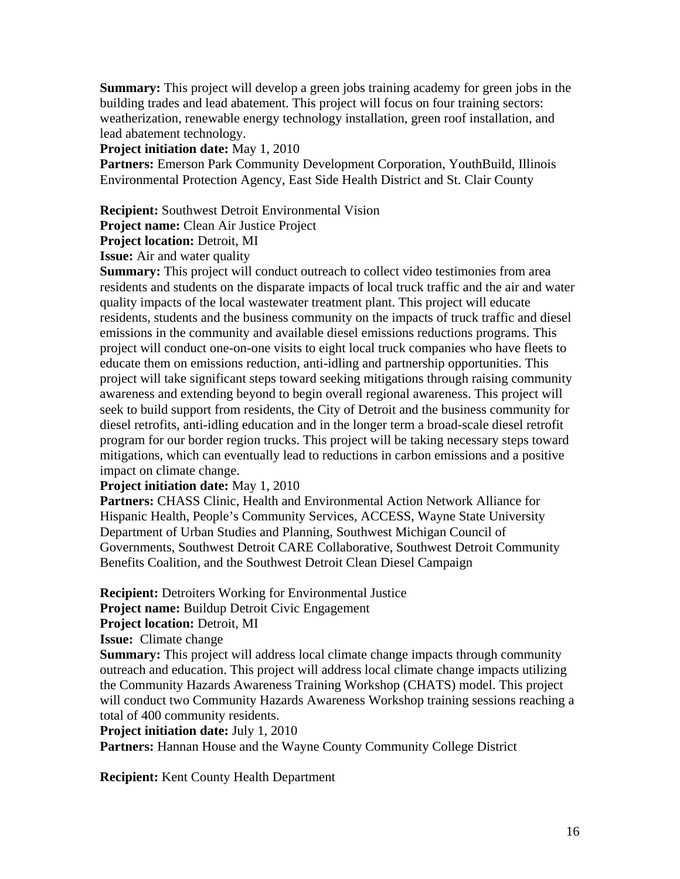**Summary:** This project will develop a green jobs training academy for green jobs in the building trades and lead abatement. This project will focus on four training sectors: weatherization, renewable energy technology installation, green roof installation, and lead abatement technology.

### **Project initiation date:** May 1, 2010

**Partners:** Emerson Park Community Development Corporation, YouthBuild, Illinois Environmental Protection Agency, East Side Health District and St. Clair County

**Recipient:** Southwest Detroit Environmental Vision

**Project name:** Clean Air Justice Project

**Project location:** Detroit, MI

**Issue:** Air and water quality

**Summary:** This project will conduct outreach to collect video testimonies from area residents and students on the disparate impacts of local truck traffic and the air and water quality impacts of the local wastewater treatment plant. This project will educate residents, students and the business community on the impacts of truck traffic and diesel emissions in the community and available diesel emissions reductions programs. This project will conduct one-on-one visits to eight local truck companies who have fleets to educate them on emissions reduction, anti-idling and partnership opportunities. This project will take significant steps toward seeking mitigations through raising community awareness and extending beyond to begin overall regional awareness. This project will seek to build support from residents, the City of Detroit and the business community for diesel retrofits, anti-idling education and in the longer term a broad-scale diesel retrofit program for our border region trucks. This project will be taking necessary steps toward mitigations, which can eventually lead to reductions in carbon emissions and a positive impact on climate change.

### **Project initiation date:** May 1, 2010

Partners: CHASS Clinic, Health and Environmental Action Network Alliance for Hispanic Health, People's Community Services, ACCESS, Wayne State University Department of Urban Studies and Planning, Southwest Michigan Council of Governments, Southwest Detroit CARE Collaborative, Southwest Detroit Community Benefits Coalition, and the Southwest Detroit Clean Diesel Campaign

**Recipient:** Detroiters Working for Environmental Justice

**Project name:** Buildup Detroit Civic Engagement

**Project location:** Detroit, MI

**Issue:** Climate change

**Summary:** This project will address local climate change impacts through community outreach and education. This project will address local climate change impacts utilizing the Community Hazards Awareness Training Workshop (CHATS) model. This project will conduct two Community Hazards Awareness Workshop training sessions reaching a total of 400 community residents.

#### **Project initiation date:** July 1, 2010

Partners: Hannan House and the Wayne County Community College District

**Recipient:** Kent County Health Department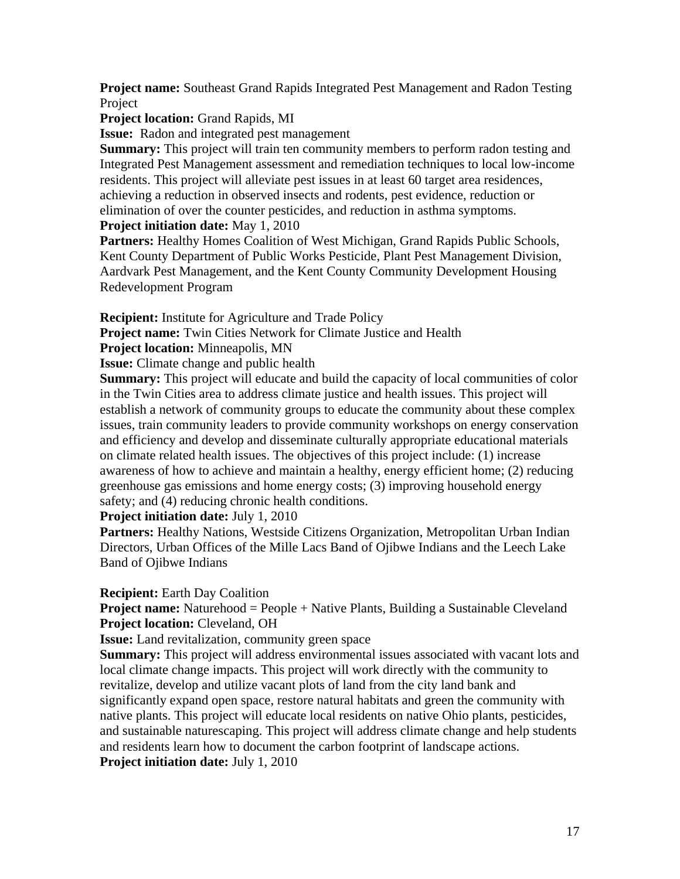**Project name:** Southeast Grand Rapids Integrated Pest Management and Radon Testing Project

**Project location:** Grand Rapids, MI

**Issue:** Radon and integrated pest management

**Summary:** This project will train ten community members to perform radon testing and Integrated Pest Management assessment and remediation techniques to local low-income residents. This project will alleviate pest issues in at least 60 target area residences, achieving a reduction in observed insects and rodents, pest evidence, reduction or elimination of over the counter pesticides, and reduction in asthma symptoms.

**Project initiation date:** May 1, 2010

Partners: Healthy Homes Coalition of West Michigan, Grand Rapids Public Schools, Kent County Department of Public Works Pesticide, Plant Pest Management Division, Aardvark Pest Management, and the Kent County Community Development Housing Redevelopment Program

**Recipient:** Institute for Agriculture and Trade Policy

**Project name:** Twin Cities Network for Climate Justice and Health

**Project location:** Minneapolis, MN

**Issue:** Climate change and public health

**Summary:** This project will educate and build the capacity of local communities of color in the Twin Cities area to address climate justice and health issues. This project will establish a network of community groups to educate the community about these complex issues, train community leaders to provide community workshops on energy conservation and efficiency and develop and disseminate culturally appropriate educational materials on climate related health issues. The objectives of this project include: (1) increase awareness of how to achieve and maintain a healthy, energy efficient home; (2) reducing greenhouse gas emissions and home energy costs; (3) improving household energy safety; and (4) reducing chronic health conditions.

**Project initiation date:** July 1, 2010

Partners: Healthy Nations, Westside Citizens Organization, Metropolitan Urban Indian Directors, Urban Offices of the Mille Lacs Band of Ojibwe Indians and the Leech Lake Band of Ojibwe Indians

## **Recipient:** Earth Day Coalition

**Project name:** Naturehood = People + Native Plants, Building a Sustainable Cleveland **Project location:** Cleveland, OH

**Issue:** Land revitalization, community green space

**Summary:** This project will address environmental issues associated with vacant lots and local climate change impacts. This project will work directly with the community to revitalize, develop and utilize vacant plots of land from the city land bank and significantly expand open space, restore natural habitats and green the community with native plants. This project will educate local residents on native Ohio plants, pesticides, and sustainable naturescaping. This project will address climate change and help students and residents learn how to document the carbon footprint of landscape actions.

**Project initiation date:** July 1, 2010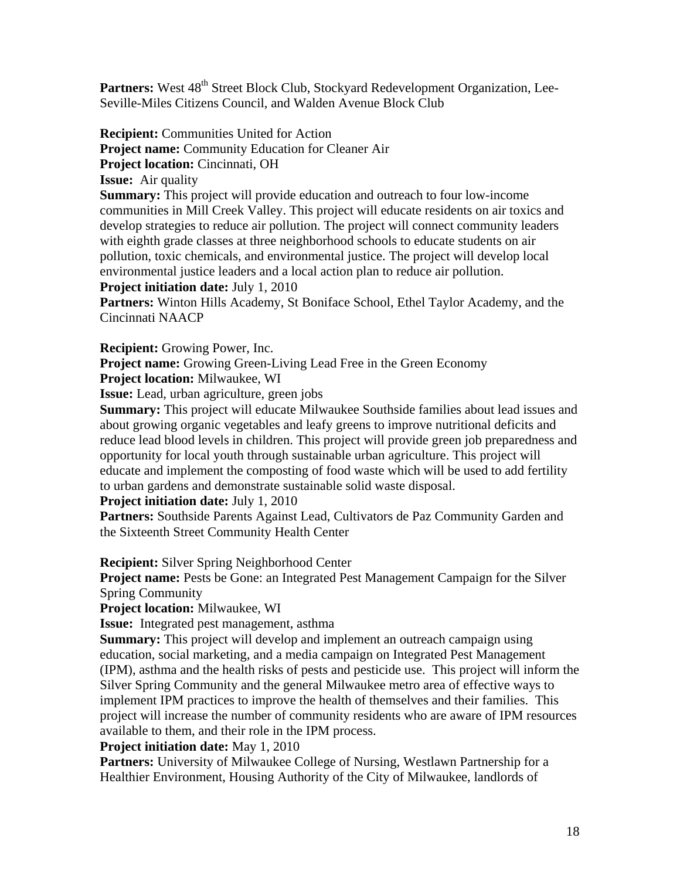Partners: West 48<sup>th</sup> Street Block Club, Stockyard Redevelopment Organization, Lee-Seville-Miles Citizens Council, and Walden Avenue Block Club

**Recipient:** Communities United for Action **Project name:** Community Education for Cleaner Air **Project location:** Cincinnati, OH

**Issue:** Air quality

**Summary:** This project will provide education and outreach to four low-income communities in Mill Creek Valley. This project will educate residents on air toxics and develop strategies to reduce air pollution. The project will connect community leaders with eighth grade classes at three neighborhood schools to educate students on air pollution, toxic chemicals, and environmental justice. The project will develop local environmental justice leaders and a local action plan to reduce air pollution.

**Project initiation date:** July 1, 2010

**Partners:** Winton Hills Academy, St Boniface School, Ethel Taylor Academy, and the Cincinnati NAACP

**Recipient:** Growing Power, Inc.

**Project name:** Growing Green-Living Lead Free in the Green Economy

**Project location:** Milwaukee, WI

**Issue:** Lead, urban agriculture, green jobs

**Summary:** This project will educate Milwaukee Southside families about lead issues and about growing organic vegetables and leafy greens to improve nutritional deficits and reduce lead blood levels in children. This project will provide green job preparedness and opportunity for local youth through sustainable urban agriculture. This project will educate and implement the composting of food waste which will be used to add fertility to urban gardens and demonstrate sustainable solid waste disposal.

**Project initiation date:** July 1, 2010

Partners: Southside Parents Against Lead, Cultivators de Paz Community Garden and the Sixteenth Street Community Health Center

**Recipient:** Silver Spring Neighborhood Center

**Project name:** Pests be Gone: an Integrated Pest Management Campaign for the Silver Spring Community

**Project location:** Milwaukee, WI

**Issue:** Integrated pest management, asthma

**Summary:** This project will develop and implement an outreach campaign using education, social marketing, and a media campaign on Integrated Pest Management (IPM), asthma and the health risks of pests and pesticide use. This project will inform the Silver Spring Community and the general Milwaukee metro area of effective ways to implement IPM practices to improve the health of themselves and their families. This project will increase the number of community residents who are aware of IPM resources available to them, and their role in the IPM process.

## **Project initiation date:** May 1, 2010

Partners: University of Milwaukee College of Nursing, Westlawn Partnership for a Healthier Environment, Housing Authority of the City of Milwaukee, landlords of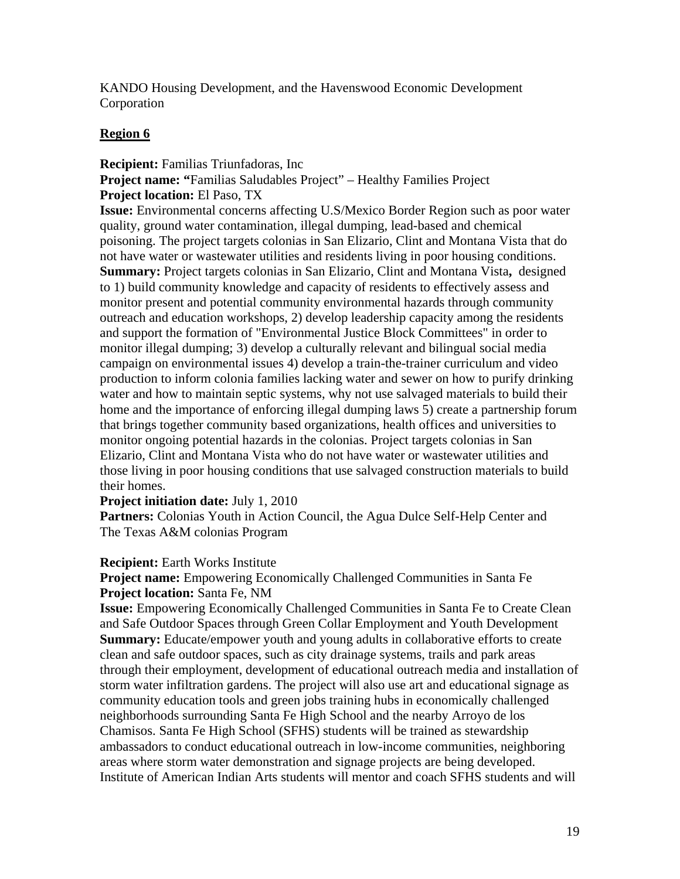KANDO Housing Development, and the Havenswood Economic Development Corporation

# **Region 6**

# **Recipient:** Familias Triunfadoras, Inc

**Project name: "**Familias Saludables Project" – Healthy Families Project

# **Project location:** El Paso, TX **Issue:** Environmental concerns affecting U.S/Mexico Border Region such as poor water quality, ground water contamination, illegal dumping, lead-based and chemical

poisoning. The project targets colonias in San Elizario, Clint and Montana Vista that do not have water or wastewater utilities and residents living in poor housing conditions. **Summary:** Project targets colonias in San Elizario, Clint and Montana Vista**,** designed to 1) build community knowledge and capacity of residents to effectively assess and monitor present and potential community environmental hazards through community outreach and education workshops, 2) develop leadership capacity among the residents and support the formation of "Environmental Justice Block Committees" in order to monitor illegal dumping; 3) develop a culturally relevant and bilingual social media campaign on environmental issues 4) develop a train-the-trainer curriculum and video production to inform colonia families lacking water and sewer on how to purify drinking water and how to maintain septic systems, why not use salvaged materials to build their home and the importance of enforcing illegal dumping laws 5) create a partnership forum that brings together community based organizations, health offices and universities to monitor ongoing potential hazards in the colonias. Project targets colonias in San Elizario, Clint and Montana Vista who do not have water or wastewater utilities and those living in poor housing conditions that use salvaged construction materials to build their homes.

# **Project initiation date:** July 1, 2010

**Partners:** Colonias Youth in Action Council, the Agua Dulce Self-Help Center and The Texas A&M colonias Program

# **Recipient:** Earth Works Institute

## **Project name:** Empowering Economically Challenged Communities in Santa Fe **Project location:** Santa Fe, NM

**Issue:** Empowering Economically Challenged Communities in Santa Fe to Create Clean and Safe Outdoor Spaces through Green Collar Employment and Youth Development **Summary:** Educate/empower youth and young adults in collaborative efforts to create clean and safe outdoor spaces, such as city drainage systems, trails and park areas through their employment, development of educational outreach media and installation of storm water infiltration gardens. The project will also use art and educational signage as community education tools and green jobs training hubs in economically challenged neighborhoods surrounding Santa Fe High School and the nearby Arroyo de los Chamisos. Santa Fe High School (SFHS) students will be trained as stewardship ambassadors to conduct educational outreach in low-income communities, neighboring areas where storm water demonstration and signage projects are being developed. Institute of American Indian Arts students will mentor and coach SFHS students and will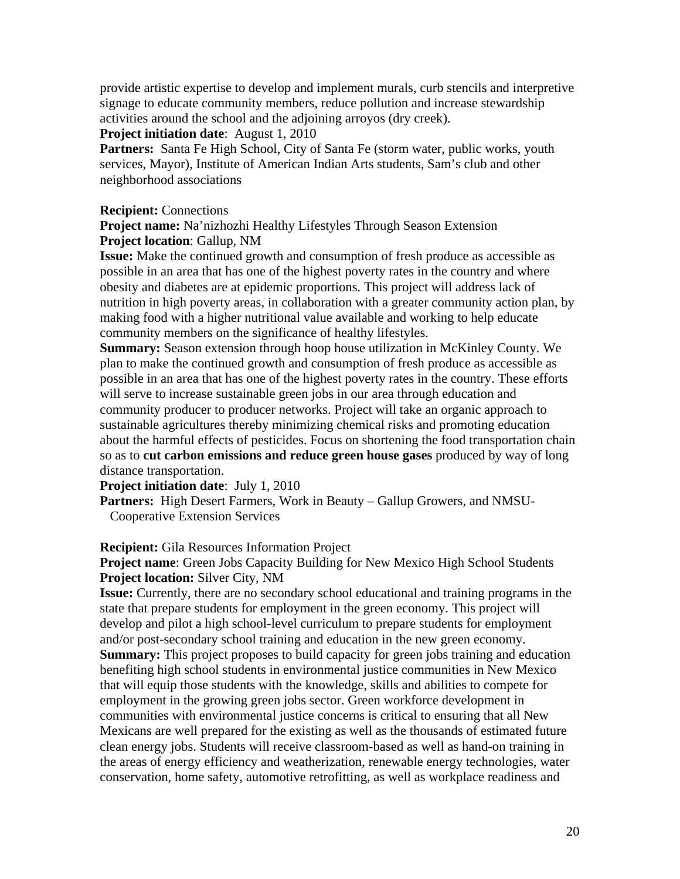provide artistic expertise to develop and implement murals, curb stencils and interpretive signage to educate community members, reduce pollution and increase stewardship activities around the school and the adjoining arroyos (dry creek).

## **Project initiation date**: August 1, 2010

**Partners:** Santa Fe High School, City of Santa Fe (storm water, public works, youth services, Mayor), Institute of American Indian Arts students, Sam's club and other neighborhood associations

## **Recipient:** Connections

**Project name:** Na'nizhozhi Healthy Lifestyles Through Season Extension **Project location**: Gallup, NM

**Issue:** Make the continued growth and consumption of fresh produce as accessible as possible in an area that has one of the highest poverty rates in the country and where obesity and diabetes are at epidemic proportions. This project will address lack of nutrition in high poverty areas, in collaboration with a greater community action plan, by making food with a higher nutritional value available and working to help educate community members on the significance of healthy lifestyles.

**Summary:** Season extension through hoop house utilization in McKinley County. We plan to make the continued growth and consumption of fresh produce as accessible as possible in an area that has one of the highest poverty rates in the country. These efforts will serve to increase sustainable green jobs in our area through education and community producer to producer networks. Project will take an organic approach to sustainable agricultures thereby minimizing chemical risks and promoting education about the harmful effects of pesticides. Focus on shortening the food transportation chain so as to **cut carbon emissions and reduce green house gases** produced by way of long distance transportation.

**Project initiation date**: July 1, 2010

Partners: High Desert Farmers, Work in Beauty – Gallup Growers, and NMSU-Cooperative Extension Services

# **Recipient:** Gila Resources Information Project

**Project name**: Green Jobs Capacity Building for New Mexico High School Students **Project location:** Silver City, NM

**Issue:** Currently, there are no secondary school educational and training programs in the state that prepare students for employment in the green economy. This project will develop and pilot a high school-level curriculum to prepare students for employment and/or post-secondary school training and education in the new green economy. **Summary:** This project proposes to build capacity for green jobs training and education benefiting high school students in environmental justice communities in New Mexico that will equip those students with the knowledge, skills and abilities to compete for employment in the growing green jobs sector. Green workforce development in communities with environmental justice concerns is critical to ensuring that all New Mexicans are well prepared for the existing as well as the thousands of estimated future clean energy jobs. Students will receive classroom-based as well as hand-on training in the areas of energy efficiency and weatherization, renewable energy technologies, water conservation, home safety, automotive retrofitting, as well as workplace readiness and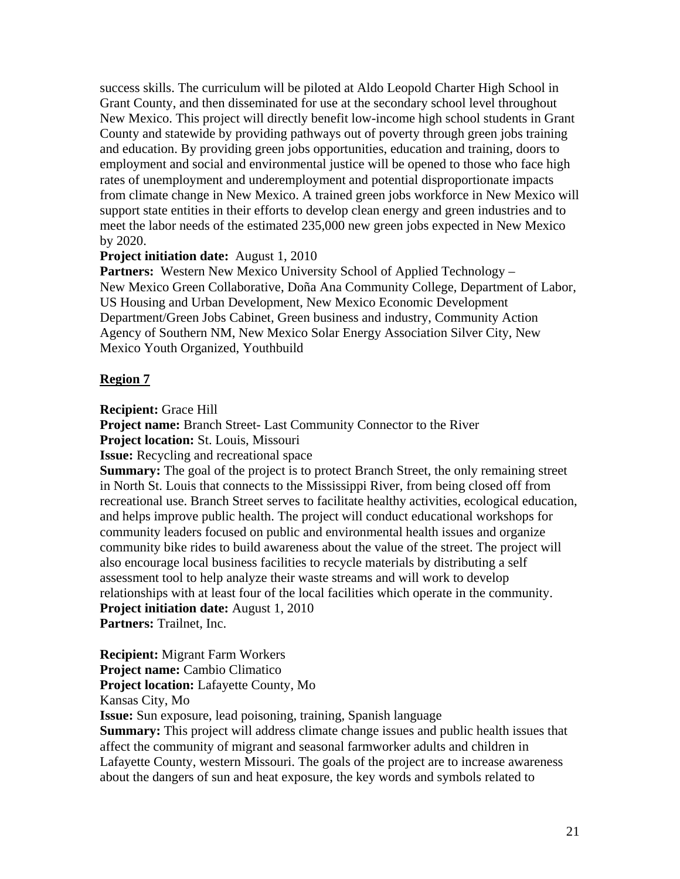success skills. The curriculum will be piloted at Aldo Leopold Charter High School in Grant County, and then disseminated for use at the secondary school level throughout New Mexico. This project will directly benefit low-income high school students in Grant County and statewide by providing pathways out of poverty through green jobs training and education. By providing green jobs opportunities, education and training, doors to employment and social and environmental justice will be opened to those who face high rates of unemployment and underemployment and potential disproportionate impacts from climate change in New Mexico. A trained green jobs workforce in New Mexico will support state entities in their efforts to develop clean energy and green industries and to meet the labor needs of the estimated 235,000 new green jobs expected in New Mexico by 2020.

# **Project initiation date:** August 1, 2010

Partners: Western New Mexico University School of Applied Technology – New Mexico Green Collaborative, Doña Ana Community College, Department of Labor, US Housing and Urban Development, New Mexico Economic Development Department/Green Jobs Cabinet, Green business and industry, Community Action Agency of Southern NM, New Mexico Solar Energy Association Silver City, New Mexico Youth Organized, Youthbuild

# **Region 7**

**Recipient:** Grace Hill

**Project name:** Branch Street- Last Community Connector to the River

**Project location:** St. Louis, Missouri

**Issue:** Recycling and recreational space

**Summary:** The goal of the project is to protect Branch Street, the only remaining street in North St. Louis that connects to the Mississippi River, from being closed off from recreational use. Branch Street serves to facilitate healthy activities, ecological education, and helps improve public health. The project will conduct educational workshops for community leaders focused on public and environmental health issues and organize community bike rides to build awareness about the value of the street. The project will also encourage local business facilities to recycle materials by distributing a self assessment tool to help analyze their waste streams and will work to develop relationships with at least four of the local facilities which operate in the community. **Project initiation date:** August 1, 2010 **Partners:** Trailnet, Inc.

**Recipient:** Migrant Farm Workers **Project name:** Cambio Climatico **Project location:** Lafayette County, Mo Kansas City, Mo

**Issue:** Sun exposure, lead poisoning, training, Spanish language

**Summary:** This project will address climate change issues and public health issues that affect the community of migrant and seasonal farmworker adults and children in Lafayette County, western Missouri. The goals of the project are to increase awareness about the dangers of sun and heat exposure, the key words and symbols related to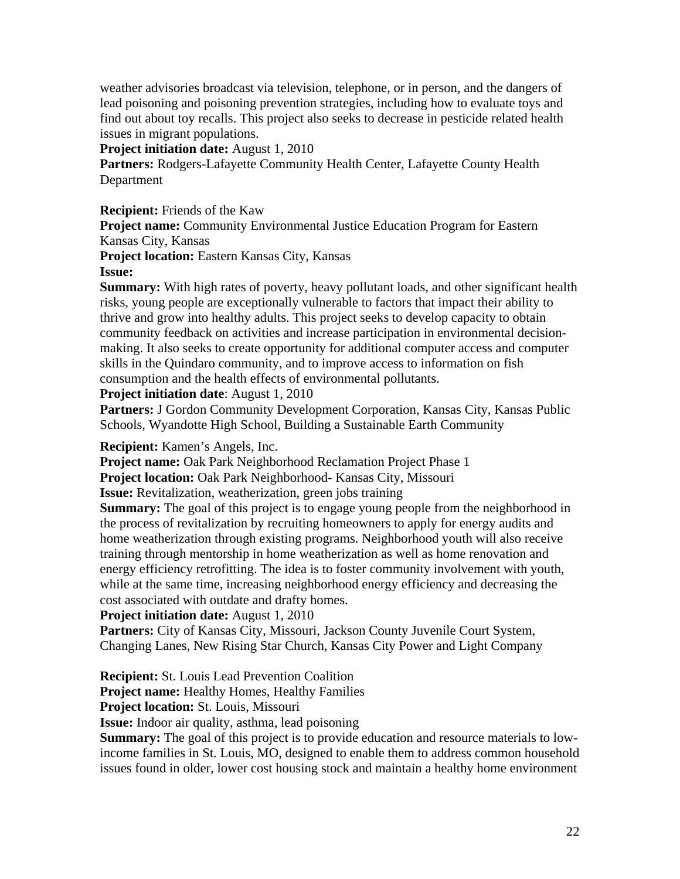weather advisories broadcast via television, telephone, or in person, and the dangers of lead poisoning and poisoning prevention strategies, including how to evaluate toys and find out about toy recalls. This project also seeks to decrease in pesticide related health issues in migrant populations.

## **Project initiation date:** August 1, 2010

**Partners:** Rodgers-Lafayette Community Health Center, Lafayette County Health Department

**Recipient:** Friends of the Kaw

**Project name:** Community Environmental Justice Education Program for Eastern Kansas City, Kansas

**Project location:** Eastern Kansas City, Kansas

### **Issue:**

**Summary:** With high rates of poverty, heavy pollutant loads, and other significant health risks, young people are exceptionally vulnerable to factors that impact their ability to thrive and grow into healthy adults. This project seeks to develop capacity to obtain community feedback on activities and increase participation in environmental decisionmaking. It also seeks to create opportunity for additional computer access and computer skills in the Quindaro community, and to improve access to information on fish consumption and the health effects of environmental pollutants.

### **Project initiation date**: August 1, 2010

Partners: J Gordon Community Development Corporation, Kansas City, Kansas Public Schools, Wyandotte High School, Building a Sustainable Earth Community

#### **Recipient:** Kamen's Angels, Inc.

**Project name:** Oak Park Neighborhood Reclamation Project Phase 1

**Project location:** Oak Park Neighborhood- Kansas City, Missouri

**Issue:** Revitalization, weatherization, green jobs training

**Summary:** The goal of this project is to engage young people from the neighborhood in the process of revitalization by recruiting homeowners to apply for energy audits and home weatherization through existing programs. Neighborhood youth will also receive training through mentorship in home weatherization as well as home renovation and energy efficiency retrofitting. The idea is to foster community involvement with youth, while at the same time, increasing neighborhood energy efficiency and decreasing the cost associated with outdate and drafty homes.

**Project initiation date:** August 1, 2010

Partners: City of Kansas City, Missouri, Jackson County Juvenile Court System, Changing Lanes, New Rising Star Church, Kansas City Power and Light Company

**Recipient:** St. Louis Lead Prevention Coalition

**Project name:** Healthy Homes, Healthy Families

**Project location:** St. Louis, Missouri

**Issue:** Indoor air quality, asthma, lead poisoning

**Summary:** The goal of this project is to provide education and resource materials to lowincome families in St. Louis, MO, designed to enable them to address common household issues found in older, lower cost housing stock and maintain a healthy home environment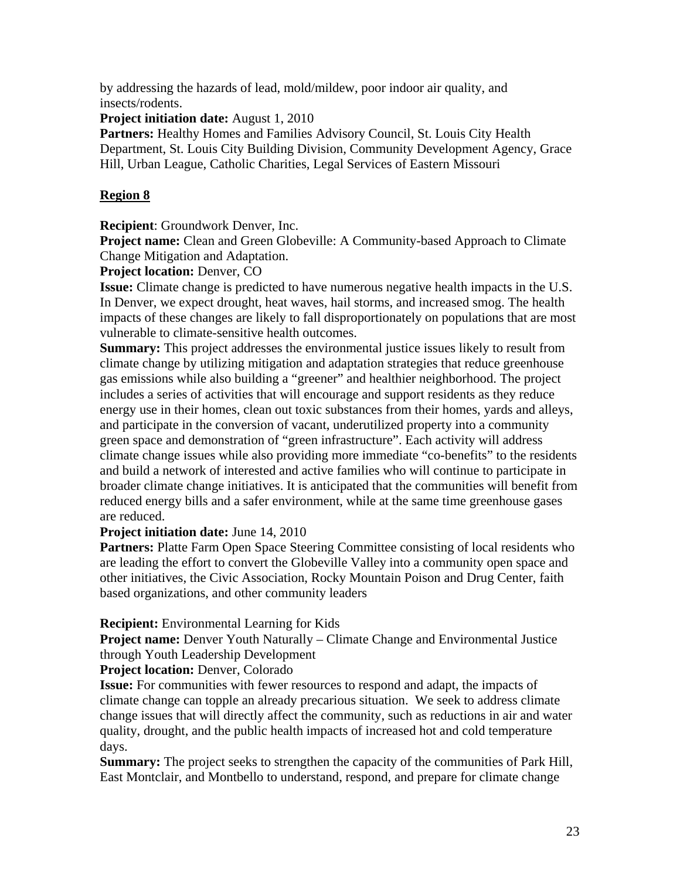by addressing the hazards of lead, mold/mildew, poor indoor air quality, and insects/rodents.

**Project initiation date:** August 1, 2010

**Partners:** Healthy Homes and Families Advisory Council, St. Louis City Health Department, St. Louis City Building Division, Community Development Agency, Grace Hill, Urban League, Catholic Charities, Legal Services of Eastern Missouri

# **Region 8**

**Recipient**: Groundwork Denver, Inc.

**Project name:** Clean and Green Globeville: A Community-based Approach to Climate Change Mitigation and Adaptation.

**Project location:** Denver, CO

**Issue:** Climate change is predicted to have numerous negative health impacts in the U.S. In Denver, we expect drought, heat waves, hail storms, and increased smog. The health impacts of these changes are likely to fall disproportionately on populations that are most vulnerable to climate-sensitive health outcomes.

**Summary:** This project addresses the environmental justice issues likely to result from climate change by utilizing mitigation and adaptation strategies that reduce greenhouse gas emissions while also building a "greener" and healthier neighborhood. The project includes a series of activities that will encourage and support residents as they reduce energy use in their homes, clean out toxic substances from their homes, yards and alleys, and participate in the conversion of vacant, underutilized property into a community green space and demonstration of "green infrastructure". Each activity will address climate change issues while also providing more immediate "co-benefits" to the residents and build a network of interested and active families who will continue to participate in broader climate change initiatives. It is anticipated that the communities will benefit from reduced energy bills and a safer environment, while at the same time greenhouse gases are reduced.

# **Project initiation date:** June 14, 2010

**Partners:** Platte Farm Open Space Steering Committee consisting of local residents who are leading the effort to convert the Globeville Valley into a community open space and other initiatives, the Civic Association, Rocky Mountain Poison and Drug Center, faith based organizations, and other community leaders

# **Recipient:** Environmental Learning for Kids

**Project name:** Denver Youth Naturally – Climate Change and Environmental Justice through Youth Leadership Development

# **Project location:** Denver, Colorado

**Issue:** For communities with fewer resources to respond and adapt, the impacts of climate change can topple an already precarious situation. We seek to address climate change issues that will directly affect the community, such as reductions in air and water quality, drought, and the public health impacts of increased hot and cold temperature days.

**Summary:** The project seeks to strengthen the capacity of the communities of Park Hill, East Montclair, and Montbello to understand, respond, and prepare for climate change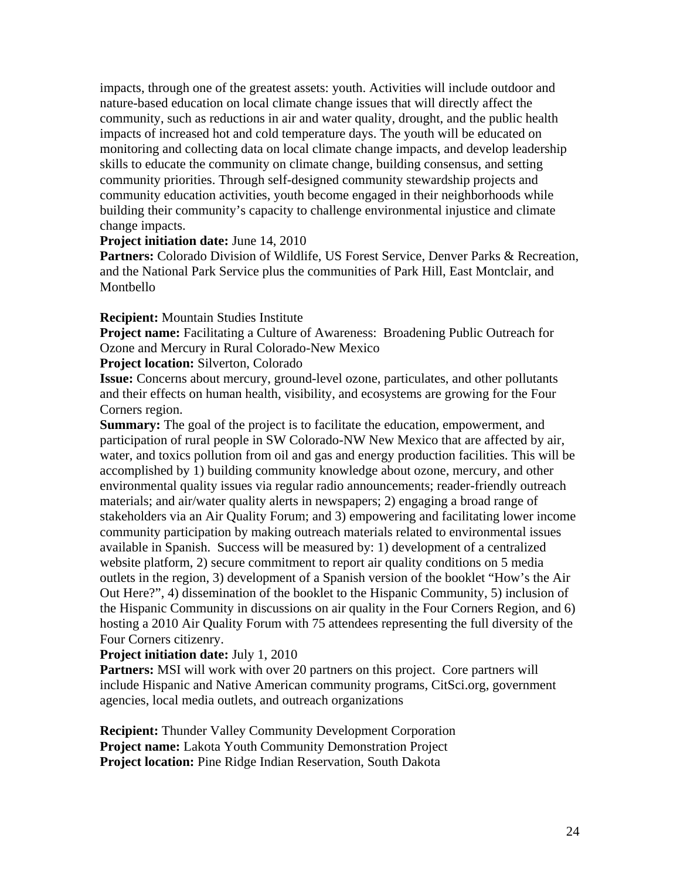impacts, through one of the greatest assets: youth. Activities will include outdoor and nature-based education on local climate change issues that will directly affect the community, such as reductions in air and water quality, drought, and the public health impacts of increased hot and cold temperature days. The youth will be educated on monitoring and collecting data on local climate change impacts, and develop leadership skills to educate the community on climate change, building consensus, and setting community priorities. Through self-designed community stewardship projects and community education activities, youth become engaged in their neighborhoods while building their community's capacity to challenge environmental injustice and climate change impacts.

### **Project initiation date:** June 14, 2010

**Partners:** Colorado Division of Wildlife, US Forest Service, Denver Parks & Recreation, and the National Park Service plus the communities of Park Hill, East Montclair, and Montbello

### **Recipient:** Mountain Studies Institute

**Project name:** Facilitating a Culture of Awareness: Broadening Public Outreach for Ozone and Mercury in Rural Colorado-New Mexico

**Project location:** Silverton, Colorado

**Issue:** Concerns about mercury, ground-level ozone, particulates, and other pollutants and their effects on human health, visibility, and ecosystems are growing for the Four Corners region.

**Summary:** The goal of the project is to facilitate the education, empowerment, and participation of rural people in SW Colorado-NW New Mexico that are affected by air, water, and toxics pollution from oil and gas and energy production facilities. This will be accomplished by 1) building community knowledge about ozone, mercury, and other environmental quality issues via regular radio announcements; reader-friendly outreach materials; and air/water quality alerts in newspapers; 2) engaging a broad range of stakeholders via an Air Quality Forum; and 3) empowering and facilitating lower income community participation by making outreach materials related to environmental issues available in Spanish. Success will be measured by: 1) development of a centralized website platform, 2) secure commitment to report air quality conditions on 5 media outlets in the region, 3) development of a Spanish version of the booklet "How's the Air Out Here?", 4) dissemination of the booklet to the Hispanic Community, 5) inclusion of the Hispanic Community in discussions on air quality in the Four Corners Region, and 6) hosting a 2010 Air Quality Forum with 75 attendees representing the full diversity of the Four Corners citizenry.

## **Project initiation date:** July 1, 2010

**Partners:** MSI will work with over 20 partners on this project. Core partners will include Hispanic and Native American community programs, CitSci.org, government agencies, local media outlets, and outreach organizations

**Recipient:** Thunder Valley Community Development Corporation **Project name:** Lakota Youth Community Demonstration Project **Project location:** Pine Ridge Indian Reservation, South Dakota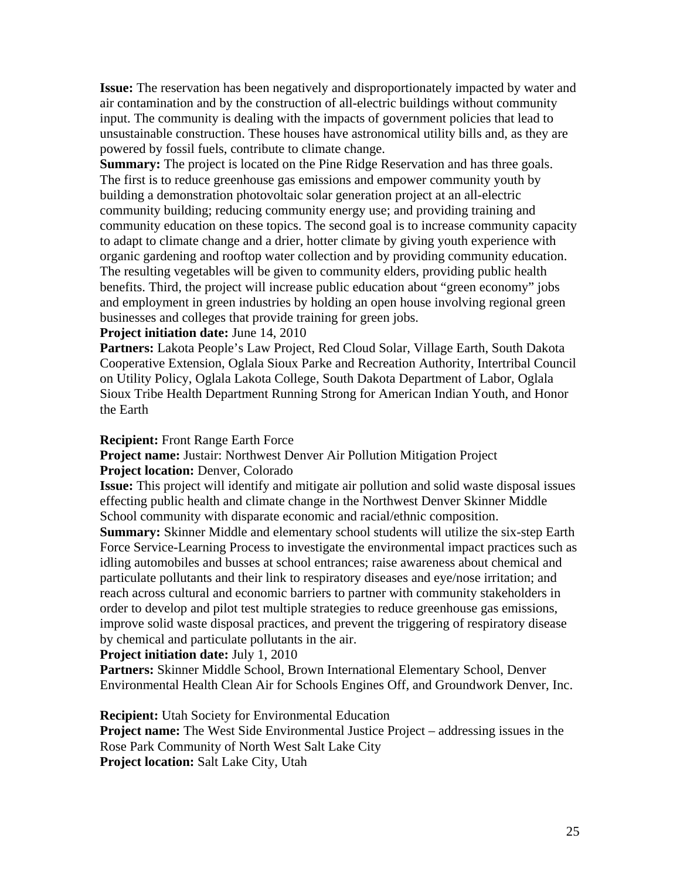**Issue:** The reservation has been negatively and disproportionately impacted by water and air contamination and by the construction of all-electric buildings without community input. The community is dealing with the impacts of government policies that lead to unsustainable construction. These houses have astronomical utility bills and, as they are powered by fossil fuels, contribute to climate change.

**Summary:** The project is located on the Pine Ridge Reservation and has three goals. The first is to reduce greenhouse gas emissions and empower community youth by building a demonstration photovoltaic solar generation project at an all-electric community building; reducing community energy use; and providing training and community education on these topics. The second goal is to increase community capacity to adapt to climate change and a drier, hotter climate by giving youth experience with organic gardening and rooftop water collection and by providing community education. The resulting vegetables will be given to community elders, providing public health benefits. Third, the project will increase public education about "green economy" jobs and employment in green industries by holding an open house involving regional green businesses and colleges that provide training for green jobs.

#### **Project initiation date:** June 14, 2010

**Partners:** Lakota People's Law Project, Red Cloud Solar, Village Earth, South Dakota Cooperative Extension, Oglala Sioux Parke and Recreation Authority, Intertribal Council on Utility Policy, Oglala Lakota College, South Dakota Department of Labor, Oglala Sioux Tribe Health Department Running Strong for American Indian Youth, and Honor the Earth

#### **Recipient:** Front Range Earth Force

**Project name:** Justair: Northwest Denver Air Pollution Mitigation Project **Project location:** Denver, Colorado

**Issue:** This project will identify and mitigate air pollution and solid waste disposal issues effecting public health and climate change in the Northwest Denver Skinner Middle School community with disparate economic and racial/ethnic composition.

**Summary:** Skinner Middle and elementary school students will utilize the six-step Earth Force Service-Learning Process to investigate the environmental impact practices such as idling automobiles and busses at school entrances; raise awareness about chemical and particulate pollutants and their link to respiratory diseases and eye/nose irritation; and reach across cultural and economic barriers to partner with community stakeholders in order to develop and pilot test multiple strategies to reduce greenhouse gas emissions, improve solid waste disposal practices, and prevent the triggering of respiratory disease by chemical and particulate pollutants in the air.

#### **Project initiation date:** July 1, 2010

**Partners:** Skinner Middle School, Brown International Elementary School, Denver Environmental Health Clean Air for Schools Engines Off, and Groundwork Denver, Inc.

#### **Recipient:** Utah Society for Environmental Education

**Project name:** The West Side Environmental Justice Project – addressing issues in the Rose Park Community of North West Salt Lake City **Project location:** Salt Lake City, Utah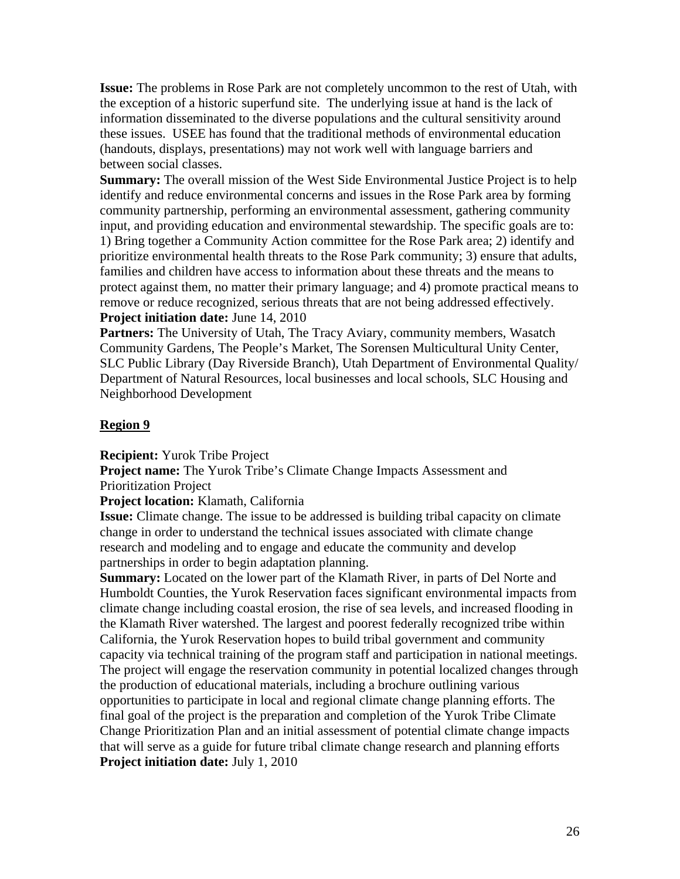**Issue:** The problems in Rose Park are not completely uncommon to the rest of Utah, with the exception of a historic superfund site. The underlying issue at hand is the lack of information disseminated to the diverse populations and the cultural sensitivity around these issues. USEE has found that the traditional methods of environmental education (handouts, displays, presentations) may not work well with language barriers and between social classes.

**Summary:** The overall mission of the West Side Environmental Justice Project is to help identify and reduce environmental concerns and issues in the Rose Park area by forming community partnership, performing an environmental assessment, gathering community input, and providing education and environmental stewardship. The specific goals are to: 1) Bring together a Community Action committee for the Rose Park area; 2) identify and prioritize environmental health threats to the Rose Park community; 3) ensure that adults, families and children have access to information about these threats and the means to protect against them, no matter their primary language; and 4) promote practical means to remove or reduce recognized, serious threats that are not being addressed effectively. **Project initiation date:** June 14, 2010

**Partners:** The University of Utah, The Tracy Aviary, community members, Wasatch Community Gardens, The People's Market, The Sorensen Multicultural Unity Center, SLC Public Library (Day Riverside Branch), Utah Department of Environmental Quality/ Department of Natural Resources, local businesses and local schools, SLC Housing and Neighborhood Development

# **Region 9**

**Recipient:** Yurok Tribe Project

**Project name:** The Yurok Tribe's Climate Change Impacts Assessment and Prioritization Project

**Project location:** Klamath, California

**Issue:** Climate change. The issue to be addressed is building tribal capacity on climate change in order to understand the technical issues associated with climate change research and modeling and to engage and educate the community and develop partnerships in order to begin adaptation planning.

**Summary:** Located on the lower part of the Klamath River, in parts of Del Norte and Humboldt Counties, the Yurok Reservation faces significant environmental impacts from climate change including coastal erosion, the rise of sea levels, and increased flooding in the Klamath River watershed. The largest and poorest federally recognized tribe within California, the Yurok Reservation hopes to build tribal government and community capacity via technical training of the program staff and participation in national meetings. The project will engage the reservation community in potential localized changes through the production of educational materials, including a brochure outlining various opportunities to participate in local and regional climate change planning efforts. The final goal of the project is the preparation and completion of the Yurok Tribe Climate Change Prioritization Plan and an initial assessment of potential climate change impacts that will serve as a guide for future tribal climate change research and planning efforts **Project initiation date:** July 1, 2010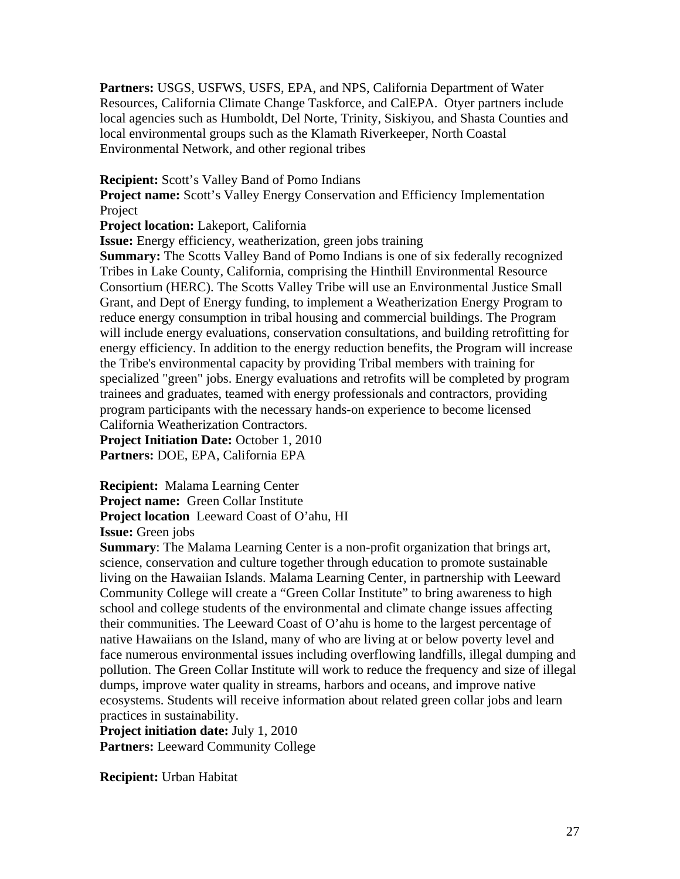**Partners:** USGS, USFWS, USFS, EPA, and NPS, California Department of Water Resources, California Climate Change Taskforce, and CalEPA. Otyer partners include local agencies such as Humboldt, Del Norte, Trinity, Siskiyou, and Shasta Counties and local environmental groups such as the Klamath Riverkeeper, North Coastal Environmental Network, and other regional tribes

### **Recipient:** Scott's Valley Band of Pomo Indians

**Project name:** Scott's Valley Energy Conservation and Efficiency Implementation Project

### **Project location:** Lakeport, California

**Issue:** Energy efficiency, weatherization, green jobs training

**Summary:** The Scotts Valley Band of Pomo Indians is one of six federally recognized Tribes in Lake County, California, comprising the Hinthill Environmental Resource Consortium (HERC). The Scotts Valley Tribe will use an Environmental Justice Small Grant, and Dept of Energy funding, to implement a Weatherization Energy Program to reduce energy consumption in tribal housing and commercial buildings. The Program will include energy evaluations, conservation consultations, and building retrofitting for energy efficiency. In addition to the energy reduction benefits, the Program will increase the Tribe's environmental capacity by providing Tribal members with training for specialized "green" jobs. Energy evaluations and retrofits will be completed by program trainees and graduates, teamed with energy professionals and contractors, providing program participants with the necessary hands-on experience to become licensed California Weatherization Contractors.

**Project Initiation Date:** October 1, 2010 **Partners:** DOE, EPA, California EPA

**Recipient:** Malama Learning Center **Project name:** Green Collar Institute **Project location** Leeward Coast of O'ahu, HI **Issue:** Green jobs

**Summary**: The Malama Learning Center is a non-profit organization that brings art, science, conservation and culture together through education to promote sustainable living on the Hawaiian Islands. Malama Learning Center, in partnership with Leeward Community College will create a "Green Collar Institute" to bring awareness to high school and college students of the environmental and climate change issues affecting their communities. The Leeward Coast of O'ahu is home to the largest percentage of native Hawaiians on the Island, many of who are living at or below poverty level and face numerous environmental issues including overflowing landfills, illegal dumping and pollution. The Green Collar Institute will work to reduce the frequency and size of illegal dumps, improve water quality in streams, harbors and oceans, and improve native ecosystems. Students will receive information about related green collar jobs and learn practices in sustainability.

**Project initiation date:** July 1, 2010 **Partners:** Leeward Community College

**Recipient:** Urban Habitat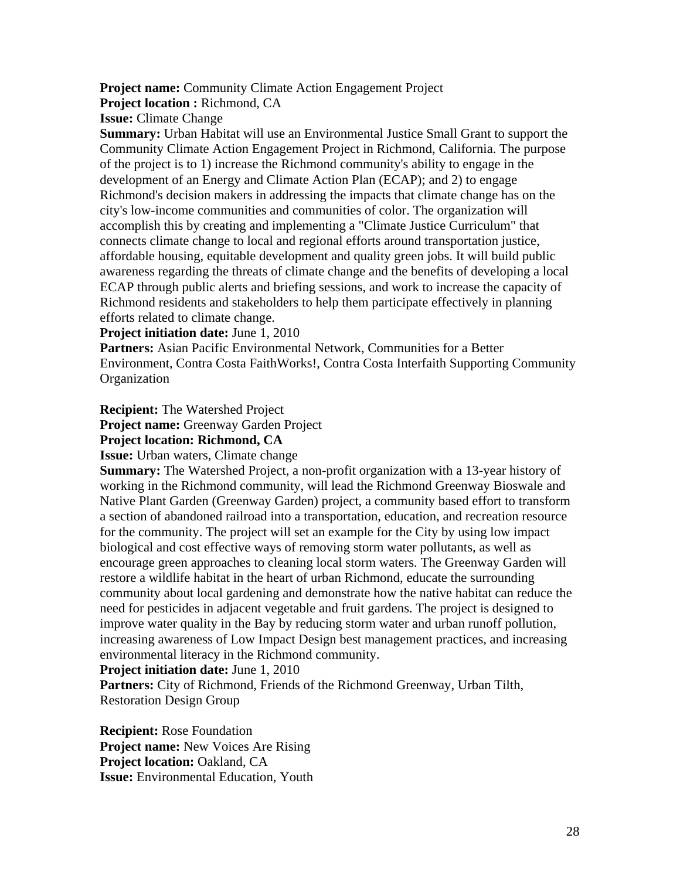**Project name:** Community Climate Action Engagement Project

**Project location :** Richmond, CA

**Issue:** Climate Change

**Summary:** Urban Habitat will use an Environmental Justice Small Grant to support the Community Climate Action Engagement Project in Richmond, California. The purpose of the project is to 1) increase the Richmond community's ability to engage in the development of an Energy and Climate Action Plan (ECAP); and 2) to engage Richmond's decision makers in addressing the impacts that climate change has on the city's low-income communities and communities of color. The organization will accomplish this by creating and implementing a "Climate Justice Curriculum" that connects climate change to local and regional efforts around transportation justice, affordable housing, equitable development and quality green jobs. It will build public awareness regarding the threats of climate change and the benefits of developing a local ECAP through public alerts and briefing sessions, and work to increase the capacity of Richmond residents and stakeholders to help them participate effectively in planning efforts related to climate change.

**Project initiation date:** June 1, 2010

Partners: Asian Pacific Environmental Network, Communities for a Better Environment, Contra Costa FaithWorks!, Contra Costa Interfaith Supporting Community **Organization** 

# **Recipient:** The Watershed Project

**Project name:** Greenway Garden Project

**Project location: Richmond, CA** 

**Issue:** Urban waters, Climate change

**Summary:** The Watershed Project, a non-profit organization with a 13-year history of working in the Richmond community, will lead the Richmond Greenway Bioswale and Native Plant Garden (Greenway Garden) project, a community based effort to transform a section of abandoned railroad into a transportation, education, and recreation resource for the community. The project will set an example for the City by using low impact biological and cost effective ways of removing storm water pollutants, as well as encourage green approaches to cleaning local storm waters. The Greenway Garden will restore a wildlife habitat in the heart of urban Richmond, educate the surrounding community about local gardening and demonstrate how the native habitat can reduce the need for pesticides in adjacent vegetable and fruit gardens. The project is designed to improve water quality in the Bay by reducing storm water and urban runoff pollution, increasing awareness of Low Impact Design best management practices, and increasing environmental literacy in the Richmond community.

**Project initiation date:** June 1, 2010

Partners: City of Richmond, Friends of the Richmond Greenway, Urban Tilth, Restoration Design Group

**Recipient:** Rose Foundation **Project name:** New Voices Are Rising **Project location: Oakland, CA Issue:** Environmental Education, Youth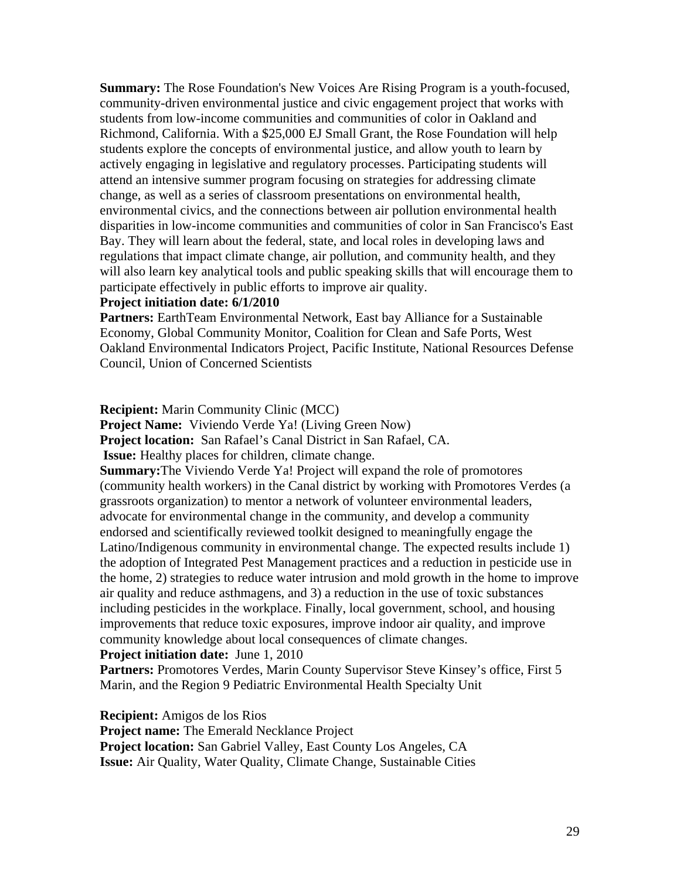**Summary:** The Rose Foundation's New Voices Are Rising Program is a youth-focused, community-driven environmental justice and civic engagement project that works with students from low-income communities and communities of color in Oakland and Richmond, California. With a \$25,000 EJ Small Grant, the Rose Foundation will help students explore the concepts of environmental justice, and allow youth to learn by actively engaging in legislative and regulatory processes. Participating students will attend an intensive summer program focusing on strategies for addressing climate change, as well as a series of classroom presentations on environmental health, environmental civics, and the connections between air pollution environmental health disparities in low-income communities and communities of color in San Francisco's East Bay. They will learn about the federal, state, and local roles in developing laws and regulations that impact climate change, air pollution, and community health, and they will also learn key analytical tools and public speaking skills that will encourage them to participate effectively in public efforts to improve air quality.

#### **Project initiation date: 6/1/2010**

Partners: EarthTeam Environmental Network, East bay Alliance for a Sustainable Economy, Global Community Monitor, Coalition for Clean and Safe Ports, West Oakland Environmental Indicators Project, Pacific Institute, National Resources Defense Council, Union of Concerned Scientists

**Recipient:** Marin Community Clinic (MCC)

**Project Name:** Viviendo Verde Ya! (Living Green Now)

**Project location:** San Rafael's Canal District in San Rafael, CA.

 **Issue:** Healthy places for children, climate change.

**Summary:**The Viviendo Verde Ya! Project will expand the role of promotores (community health workers) in the Canal district by working with Promotores Verdes (a grassroots organization) to mentor a network of volunteer environmental leaders, advocate for environmental change in the community, and develop a community endorsed and scientifically reviewed toolkit designed to meaningfully engage the Latino/Indigenous community in environmental change. The expected results include 1) the adoption of Integrated Pest Management practices and a reduction in pesticide use in the home, 2) strategies to reduce water intrusion and mold growth in the home to improve air quality and reduce asthmagens, and 3) a reduction in the use of toxic substances including pesticides in the workplace. Finally, local government, school, and housing improvements that reduce toxic exposures, improve indoor air quality, and improve community knowledge about local consequences of climate changes.

**Project initiation date:** June 1, 2010

**Partners:** Promotores Verdes, Marin County Supervisor Steve Kinsey's office, First 5 Marin, and the Region 9 Pediatric Environmental Health Specialty Unit

**Recipient:** Amigos de los Rios

**Project name:** The Emerald Necklance Project

**Project location:** San Gabriel Valley, East County Los Angeles, CA

**Issue:** Air Quality, Water Quality, Climate Change, Sustainable Cities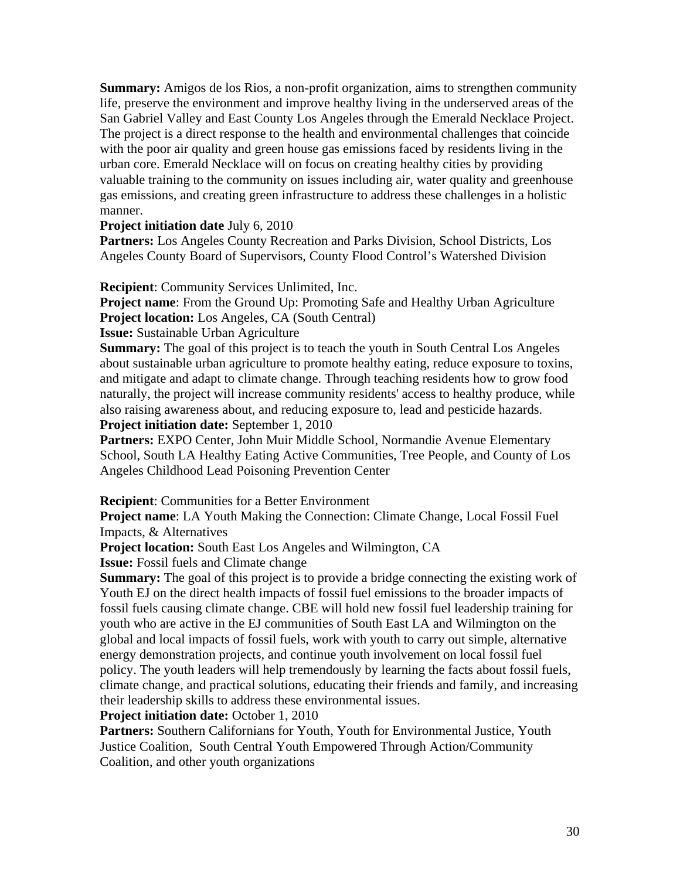**Summary:** Amigos de los Rios, a non-profit organization, aims to strengthen community life, preserve the environment and improve healthy living in the underserved areas of the San Gabriel Valley and East County Los Angeles through the Emerald Necklace Project. The project is a direct response to the health and environmental challenges that coincide with the poor air quality and green house gas emissions faced by residents living in the urban core. Emerald Necklace will on focus on creating healthy cities by providing valuable training to the community on issues including air, water quality and greenhouse gas emissions, and creating green infrastructure to address these challenges in a holistic manner.

## **Project initiation date** July 6, 2010

**Partners:** Los Angeles County Recreation and Parks Division, School Districts, Los Angeles County Board of Supervisors, County Flood Control's Watershed Division

**Recipient**: Community Services Unlimited, Inc.

**Project name:** From the Ground Up: Promoting Safe and Healthy Urban Agriculture **Project location:** Los Angeles, CA (South Central)

**Issue:** Sustainable Urban Agriculture

**Summary:** The goal of this project is to teach the youth in South Central Los Angeles about sustainable urban agriculture to promote healthy eating, reduce exposure to toxins, and mitigate and adapt to climate change. Through teaching residents how to grow food naturally, the project will increase community residents' access to healthy produce, while also raising awareness about, and reducing exposure to, lead and pesticide hazards.

**Project initiation date:** September 1, 2010

Partners: EXPO Center, John Muir Middle School, Normandie Avenue Elementary School, South LA Healthy Eating Active Communities, Tree People, and County of Los Angeles Childhood Lead Poisoning Prevention Center

**Recipient**: Communities for a Better Environment

**Project name**: LA Youth Making the Connection: Climate Change, Local Fossil Fuel Impacts, & Alternatives

**Project location:** South East Los Angeles and Wilmington, CA

**Issue:** Fossil fuels and Climate change

**Summary:** The goal of this project is to provide a bridge connecting the existing work of Youth EJ on the direct health impacts of fossil fuel emissions to the broader impacts of fossil fuels causing climate change. CBE will hold new fossil fuel leadership training for youth who are active in the EJ communities of South East LA and Wilmington on the global and local impacts of fossil fuels, work with youth to carry out simple, alternative energy demonstration projects, and continue youth involvement on local fossil fuel policy. The youth leaders will help tremendously by learning the facts about fossil fuels, climate change, and practical solutions, educating their friends and family, and increasing their leadership skills to address these environmental issues.

**Project initiation date: October 1, 2010** 

**Partners:** Southern Californians for Youth, Youth for Environmental Justice, Youth Justice Coalition, South Central Youth Empowered Through Action/Community Coalition, and other youth organizations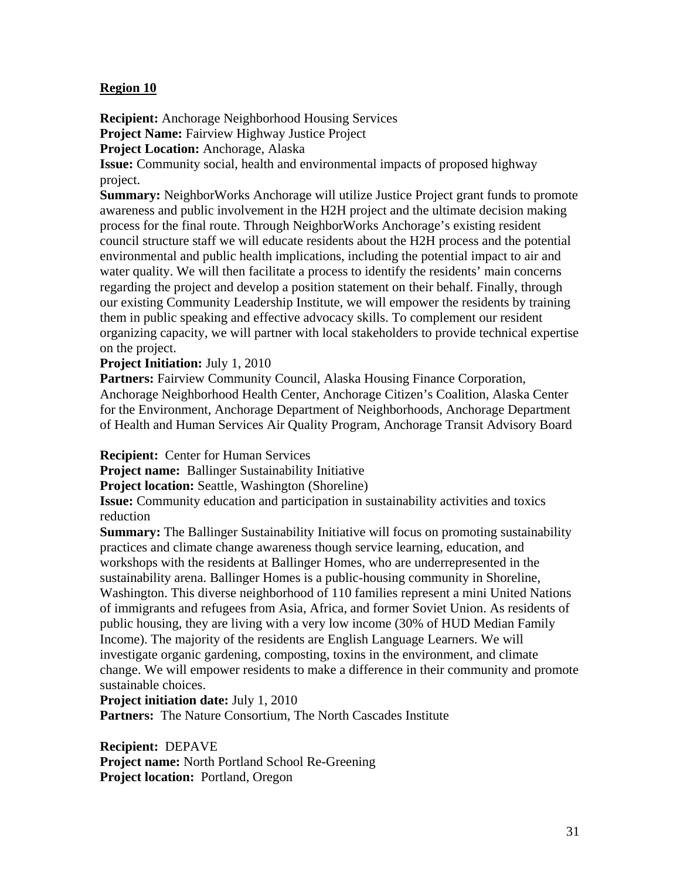# **Region 10**

**Recipient:** Anchorage Neighborhood Housing Services

**Project Name:** Fairview Highway Justice Project

**Project Location:** Anchorage, Alaska

**Issue:** Community social, health and environmental impacts of proposed highway project.

**Summary:** NeighborWorks Anchorage will utilize Justice Project grant funds to promote awareness and public involvement in the H2H project and the ultimate decision making process for the final route. Through NeighborWorks Anchorage's existing resident council structure staff we will educate residents about the H2H process and the potential environmental and public health implications, including the potential impact to air and water quality. We will then facilitate a process to identify the residents' main concerns regarding the project and develop a position statement on their behalf. Finally, through our existing Community Leadership Institute, we will empower the residents by training them in public speaking and effective advocacy skills. To complement our resident organizing capacity, we will partner with local stakeholders to provide technical expertise on the project.

## **Project Initiation:** July 1, 2010

Partners: Fairview Community Council, Alaska Housing Finance Corporation, Anchorage Neighborhood Health Center, Anchorage Citizen's Coalition, Alaska Center for the Environment, Anchorage Department of Neighborhoods, Anchorage Department of Health and Human Services Air Quality Program, Anchorage Transit Advisory Board

**Recipient:** Center for Human Services

**Project name:** Ballinger Sustainability Initiative

**Project location:** Seattle, Washington (Shoreline)

**Issue:** Community education and participation in sustainability activities and toxics reduction

**Summary:** The Ballinger Sustainability Initiative will focus on promoting sustainability practices and climate change awareness though service learning, education, and workshops with the residents at Ballinger Homes, who are underrepresented in the sustainability arena. Ballinger Homes is a public-housing community in Shoreline, Washington. This diverse neighborhood of 110 families represent a mini United Nations of immigrants and refugees from Asia, Africa, and former Soviet Union. As residents of public housing, they are living with a very low income (30% of HUD Median Family Income). The majority of the residents are English Language Learners. We will investigate organic gardening, composting, toxins in the environment, and climate change. We will empower residents to make a difference in their community and promote sustainable choices.

**Project initiation date:** July 1, 2010

Partners: The Nature Consortium, The North Cascades Institute

**Recipient:** DEPAVE **Project name:** North Portland School Re-Greening **Project location:** Portland, Oregon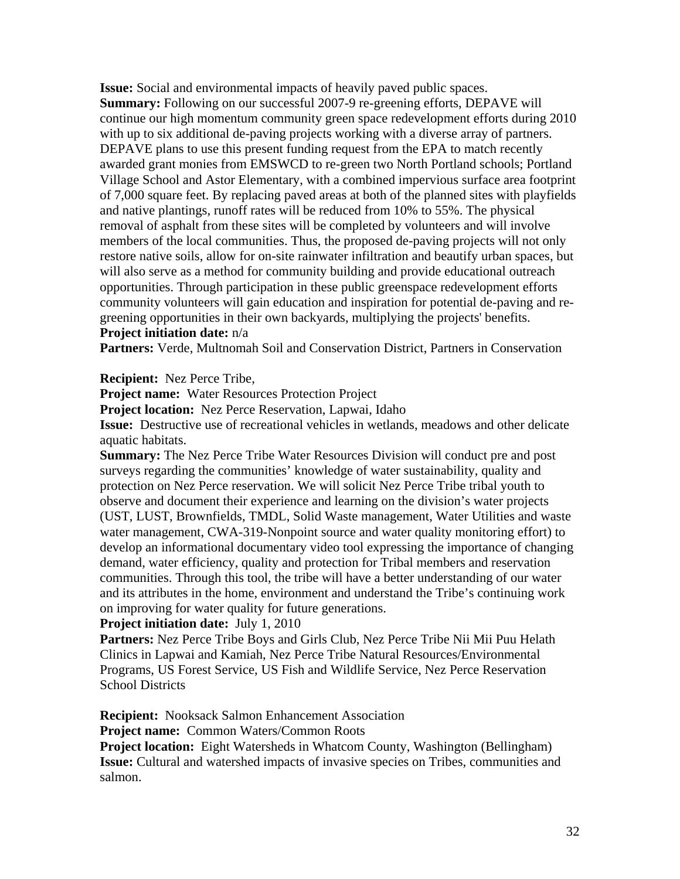**Issue:** Social and environmental impacts of heavily paved public spaces. **Summary:** Following on our successful 2007-9 re-greening efforts, DEPAVE will continue our high momentum community green space redevelopment efforts during 2010 with up to six additional de-paving projects working with a diverse array of partners. DEPAVE plans to use this present funding request from the EPA to match recently awarded grant monies from EMSWCD to re-green two North Portland schools; Portland Village School and Astor Elementary, with a combined impervious surface area footprint of 7,000 square feet. By replacing paved areas at both of the planned sites with playfields and native plantings, runoff rates will be reduced from 10% to 55%. The physical removal of asphalt from these sites will be completed by volunteers and will involve members of the local communities. Thus, the proposed de-paving projects will not only restore native soils, allow for on-site rainwater infiltration and beautify urban spaces, but will also serve as a method for community building and provide educational outreach opportunities. Through participation in these public greenspace redevelopment efforts community volunteers will gain education and inspiration for potential de-paving and regreening opportunities in their own backyards, multiplying the projects' benefits. **Project initiation date:** n/a

**Partners:** Verde, Multnomah Soil and Conservation District, Partners in Conservation

**Recipient:** Nez Perce Tribe,

**Project name:** Water Resources Protection Project

**Project location:** Nez Perce Reservation, Lapwai, Idaho

**Issue:** Destructive use of recreational vehicles in wetlands, meadows and other delicate aquatic habitats.

**Summary:** The Nez Perce Tribe Water Resources Division will conduct pre and post surveys regarding the communities' knowledge of water sustainability, quality and protection on Nez Perce reservation. We will solicit Nez Perce Tribe tribal youth to observe and document their experience and learning on the division's water projects (UST, LUST, Brownfields, TMDL, Solid Waste management, Water Utilities and waste water management, CWA-319-Nonpoint source and water quality monitoring effort) to develop an informational documentary video tool expressing the importance of changing demand, water efficiency, quality and protection for Tribal members and reservation communities. Through this tool, the tribe will have a better understanding of our water and its attributes in the home, environment and understand the Tribe's continuing work on improving for water quality for future generations.

#### **Project initiation date:** July 1, 2010

**Partners:** Nez Perce Tribe Boys and Girls Club, Nez Perce Tribe Nii Mii Puu Helath Clinics in Lapwai and Kamiah, Nez Perce Tribe Natural Resources/Environmental Programs, US Forest Service, US Fish and Wildlife Service, Nez Perce Reservation School Districts

**Recipient:** Nooksack Salmon Enhancement Association

**Project name:** Common Waters/Common Roots

**Project location:** Eight Watersheds in Whatcom County, Washington (Bellingham) **Issue:** Cultural and watershed impacts of invasive species on Tribes, communities and salmon.